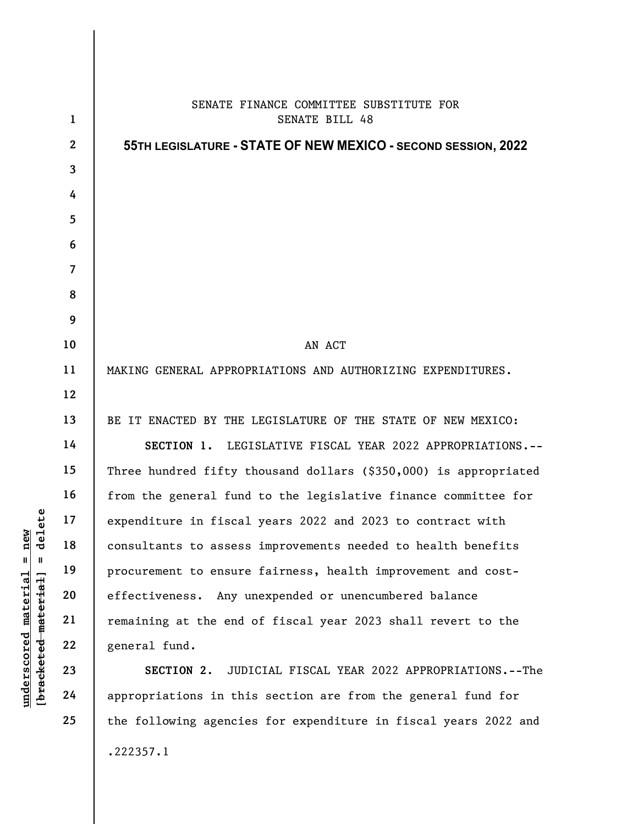|                                              | $\mathbf{1}$            | SENATE FINANCE COMMITTEE SUBSTITUTE FOR<br>SENATE BILL 48        |
|----------------------------------------------|-------------------------|------------------------------------------------------------------|
|                                              | $\mathbf{2}$            | 55TH LEGISLATURE - STATE OF NEW MEXICO - SECOND SESSION, 2022    |
|                                              | $\overline{\mathbf{3}}$ |                                                                  |
|                                              | 4                       |                                                                  |
|                                              | 5                       |                                                                  |
|                                              | 6                       |                                                                  |
|                                              | $\overline{7}$          |                                                                  |
|                                              | 8                       |                                                                  |
|                                              | 9                       |                                                                  |
|                                              | 10                      | AN ACT                                                           |
|                                              | 11                      | MAKING GENERAL APPROPRIATIONS AND AUTHORIZING EXPENDITURES.      |
|                                              | 12                      |                                                                  |
|                                              | 13                      | BE IT ENACTED BY THE LEGISLATURE OF THE STATE OF NEW MEXICO:     |
|                                              | 14                      | SECTION 1. LEGISLATIVE FISCAL YEAR 2022 APPROPRIATIONS.--        |
|                                              | 15                      | Three hundred fifty thousand dollars (\$350,000) is appropriated |
|                                              | 16                      | from the general fund to the legislative finance committee for   |
| elete                                        | 17                      | expenditure in fiscal years 2022 and 2023 to contract with       |
| <b>R</b><br>디<br>ರ                           | 18                      | consultants to assess improvements needed to health benefits     |
| $\mathsf{I}$<br>Ш                            | 19                      | procurement to ensure fairness, health improvement and cost-     |
| underscored material<br>[bracketed-material] | 20                      | effectiveness. Any unexpended or unencumbered balance            |
|                                              | 21                      | remaining at the end of fiscal year 2023 shall revert to the     |
|                                              | 22                      | general fund.                                                    |
|                                              | 23                      | JUDICIAL FISCAL YEAR 2022 APPROPRIATIONS.--The<br>SECTION 2.     |
|                                              | 24                      | appropriations in this section are from the general fund for     |
|                                              | 25                      | the following agencies for expenditure in fiscal years 2022 and  |

.222357.1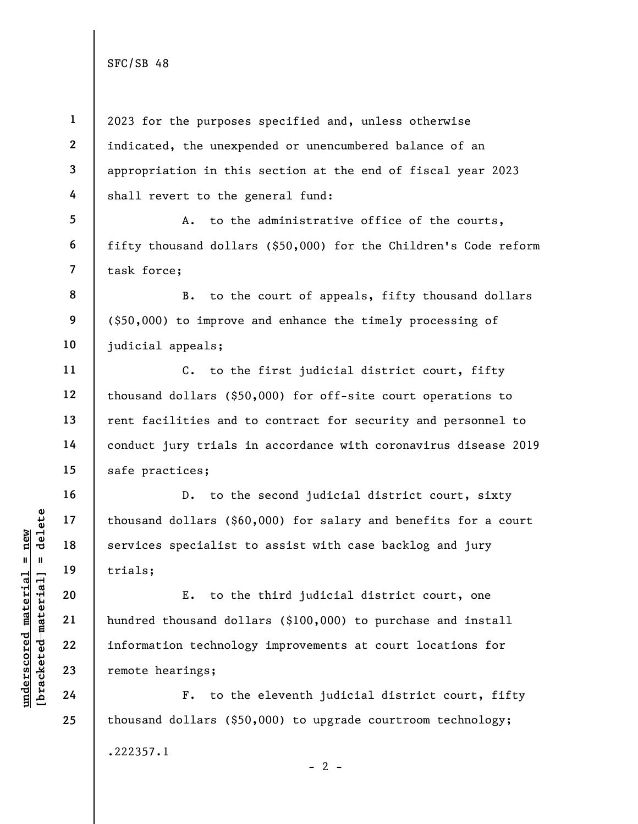5

6

7

10

11

12

13

14

15

16

17

18

19

20

21

22

23

24

25

1 2 3 4 2023 for the purposes specified and, unless otherwise indicated, the unexpended or unencumbered balance of an appropriation in this section at the end of fiscal year 2023 shall revert to the general fund:

A. to the administrative office of the courts, fifty thousand dollars (\$50,000) for the Children's Code reform task force;

8 9 B. to the court of appeals, fifty thousand dollars (\$50,000) to improve and enhance the timely processing of judicial appeals;

C. to the first judicial district court, fifty thousand dollars (\$50,000) for off-site court operations to rent facilities and to contract for security and personnel to conduct jury trials in accordance with coronavirus disease 2019 safe practices;

D. to the second judicial district court, sixty thousand dollars (\$60,000) for salary and benefits for a court services specialist to assist with case backlog and jury trials;

understand thousand dollars (\$60<br>  $\begin{array}{c|c|c|c} \n \text{u} & \text{u} & \text{u} & \text{u} \n\end{array}$ <br>  $\begin{array}{c|c} \n \text{u} & \text{u} & \text{u} \n\end{array}$  trials;<br>  $\begin{array}{c} \n \text{u} & \text{u} \n\end{array}$ <br>  $\begin{array}{c} \n \text{u} & \text{u} \n\end{array}$ <br>  $\begin{array}{c} \n \text{u} & \text{u} \n\end{array}$ <br> E. to the third judicial district court, one hundred thousand dollars (\$100,000) to purchase and install information technology improvements at court locations for remote hearings;

F. to the eleventh judicial district court, fifty thousand dollars (\$50,000) to upgrade courtroom technology; .222357.1  $- 2 -$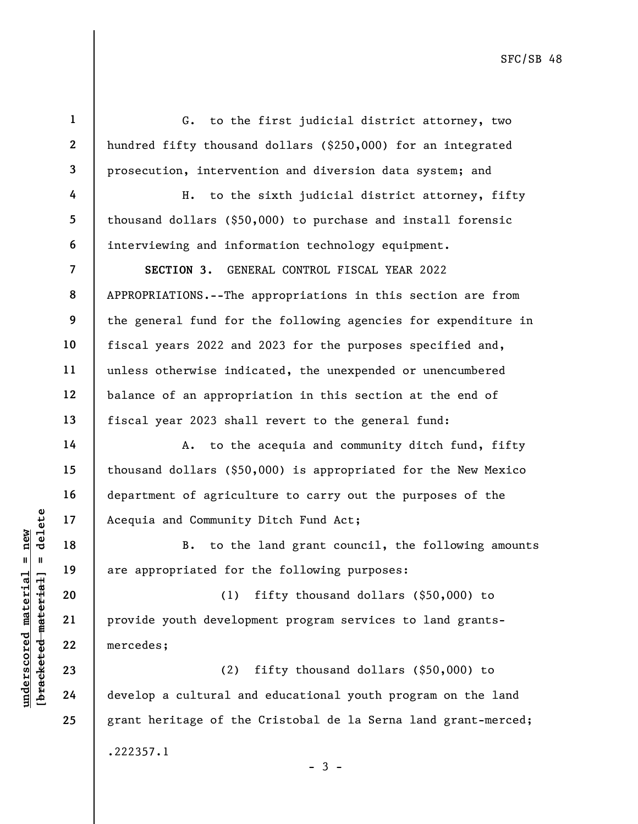1 2 3 4 5 6 7 8 9 10 11 12 13 14 15 16 G. to the first judicial district attorney, two hundred fifty thousand dollars (\$250,000) for an integrated prosecution, intervention and diversion data system; and H. to the sixth judicial district attorney, fifty thousand dollars (\$50,000) to purchase and install forensic interviewing and information technology equipment. SECTION 3. GENERAL CONTROL FISCAL YEAR 2022 APPROPRIATIONS.--The appropriations in this section are from the general fund for the following agencies for expenditure in fiscal years 2022 and 2023 for the purposes specified and, unless otherwise indicated, the unexpended or unencumbered balance of an appropriation in this section at the end of fiscal year 2023 shall revert to the general fund: A. to the acequia and community ditch fund, fifty thousand dollars (\$50,000) is appropriated for the New Mexico department of agriculture to carry out the purposes of the

Acequia and Community Ditch Fund Act;

B. to the land grant council, the following amounts are appropriated for the following purposes:

underscored material and Community<br>
and the new community<br>
are appropriated for<br>
are appropriated for<br>
are appropriated for<br>
(1)<br>
are appropriated for<br>
(1)<br>
provide youth develop<br>
mercedes;<br>
(2)<br>
develop a cultural and<br>  $\$ (1) fifty thousand dollars (\$50,000) to provide youth development program services to land grantsmercedes;

(2) fifty thousand dollars (\$50,000) to develop a cultural and educational youth program on the land grant heritage of the Cristobal de la Serna land grant-merced; .222357.1

 $-3 -$ 

17

18

19

20

21

22

23

24

25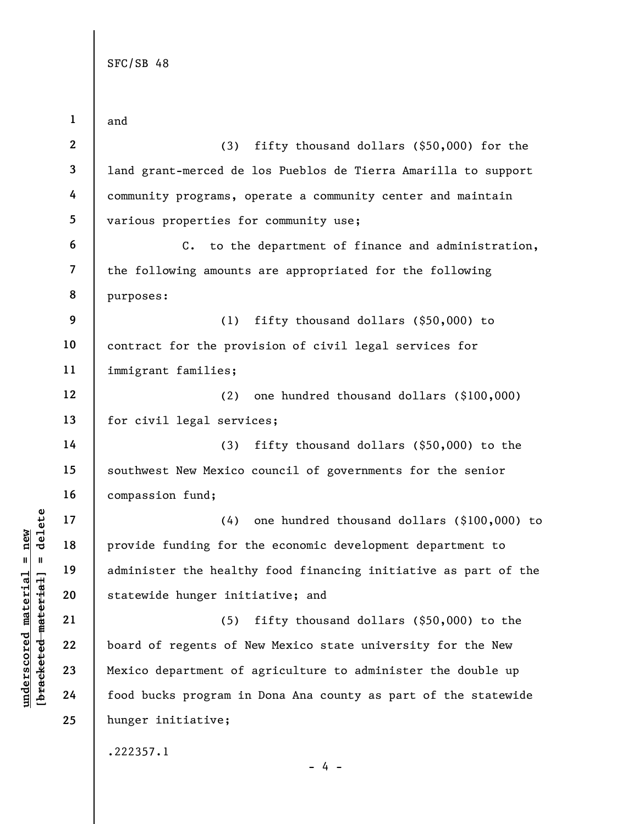underscored material material of the state<br>
wide material statewide hunger init<br>
wide wide material statewide hunger init<br>
21<br>
22<br>
23<br>
23<br>
24<br>
24<br>
24<br>
23<br>
24<br>
24<br>
23<br>
24<br>
24<br>
23<br>
24<br>
24<br>
24<br>
24<br>
24<br>
24<br>
24<br>
24<br>
24<br>
29<br>
24<br> 1 2 3 4 5 6 7 8 9 10 11 12 13 14 15 16 17 18 19 20 21 22 23 24 25 and (3) fifty thousand dollars (\$50,000) for the land grant-merced de los Pueblos de Tierra Amarilla to support community programs, operate a community center and maintain various properties for community use; C. to the department of finance and administration, the following amounts are appropriated for the following purposes: (1) fifty thousand dollars (\$50,000) to contract for the provision of civil legal services for immigrant families; (2) one hundred thousand dollars (\$100,000) for civil legal services; (3) fifty thousand dollars (\$50,000) to the southwest New Mexico council of governments for the senior compassion fund; (4) one hundred thousand dollars (\$100,000) to provide funding for the economic development department to administer the healthy food financing initiative as part of the statewide hunger initiative; and (5) fifty thousand dollars (\$50,000) to the board of regents of New Mexico state university for the New Mexico department of agriculture to administer the double up food bucks program in Dona Ana county as part of the statewide hunger initiative; .222357.1

- 4 -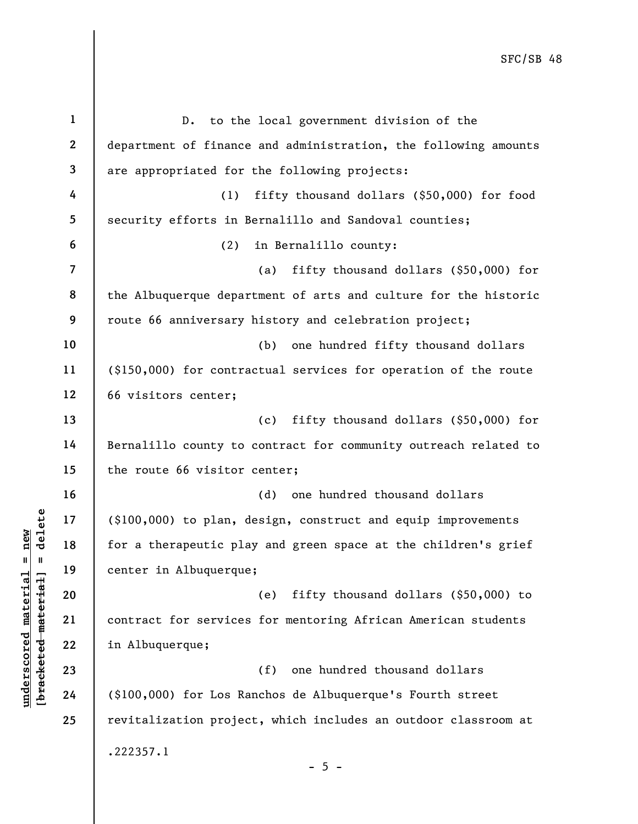|                         | $\mathbf{1}$   | D. to the local government division of the                             |
|-------------------------|----------------|------------------------------------------------------------------------|
|                         | $\mathbf{2}$   | department of finance and administration, the following amounts        |
|                         | 3              | are appropriated for the following projects:                           |
|                         | 4              | fifty thousand dollars (\$50,000) for food<br>(1)                      |
|                         | 5              | security efforts in Bernalillo and Sandoval counties;                  |
|                         | 6              | (2)<br>in Bernalillo county:                                           |
|                         | $\overline{7}$ | fifty thousand dollars (\$50,000) for<br>(a)                           |
|                         | 8              | the Albuquerque department of arts and culture for the historic        |
|                         | 9              | route 66 anniversary history and celebration project;                  |
|                         | 10             | (b)<br>one hundred fifty thousand dollars                              |
|                         | 11             | (\$150,000) for contractual services for operation of the route        |
|                         | 12             | 66 visitors center;                                                    |
|                         | 13             | fifty thousand dollars (\$50,000) for<br>(c)                           |
|                         | 14             | Bernalillo county to contract for community outreach related to        |
|                         | 15             | the route 66 visitor center;                                           |
|                         | 16             | one hundred thousand dollars<br>(d)                                    |
| delete                  | 17             | $(\text{\$100},000)$ to plan, design, construct and equip improvements |
| new<br>II               | 18             | for a therapeutic play and green space at the children's grief         |
| <b>II</b>               | 19             | center in Albuquerque;                                                 |
| materia                 | 20             | (e)<br>fifty thousand dollars (\$50,000) to                            |
| [bracketed material     | 21             | contract for services for mentoring African American students          |
|                         | 22             | in Albuquerque;                                                        |
| $\bm{{\rm underscore}}$ | 23             | one hundred thousand dollars<br>(f)                                    |
|                         | 24             | (\$100,000) for Los Ranchos de Albuquerque's Fourth street             |
|                         | 25             | revitalization project, which includes an outdoor classroom at         |
|                         |                | .222357.1<br>$-5 -$                                                    |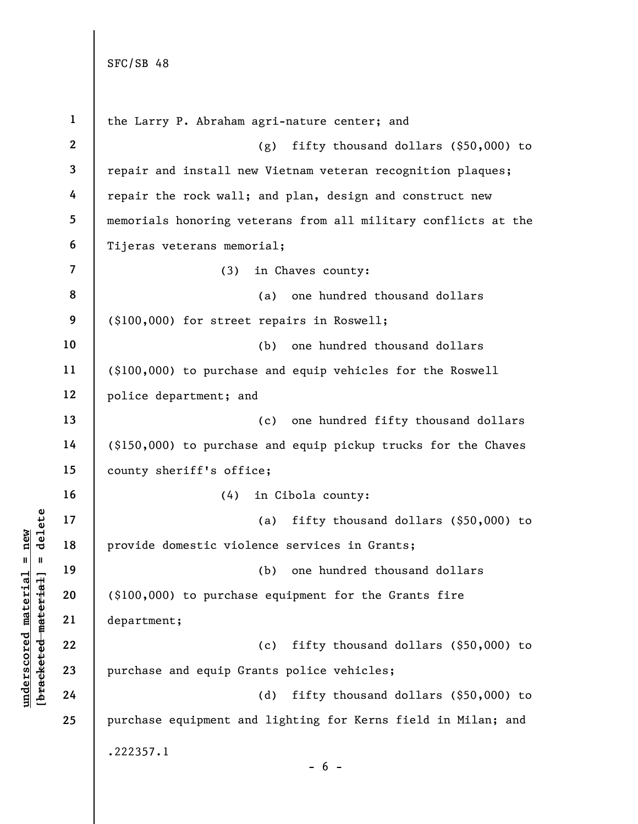underschied material engineer<br>
underschied material provide domestic viol<br>
except at 19<br>
department;<br>
22<br>
23<br>
24<br>
24<br>
24<br>
24<br>
22<br>
24<br>
24<br>
22<br>
24<br>
22<br>
24<br>
22<br>
24<br>
22<br>
24 1 2 3 4 5 6 7 8 9 10 11 12 13 14 15 16 17 18 19 20 21 22 23 24 25 the Larry P. Abraham agri-nature center; and (g) fifty thousand dollars (\$50,000) to repair and install new Vietnam veteran recognition plaques; repair the rock wall; and plan, design and construct new memorials honoring veterans from all military conflicts at the Tijeras veterans memorial; (3) in Chaves county: (a) one hundred thousand dollars (\$100,000) for street repairs in Roswell; (b) one hundred thousand dollars (\$100,000) to purchase and equip vehicles for the Roswell police department; and (c) one hundred fifty thousand dollars (\$150,000) to purchase and equip pickup trucks for the Chaves county sheriff's office; (4) in Cibola county: (a) fifty thousand dollars (\$50,000) to provide domestic violence services in Grants; (b) one hundred thousand dollars (\$100,000) to purchase equipment for the Grants fire department; (c) fifty thousand dollars (\$50,000) to purchase and equip Grants police vehicles; (d) fifty thousand dollars (\$50,000) to purchase equipment and lighting for Kerns field in Milan; and .222357.1  $- 6 -$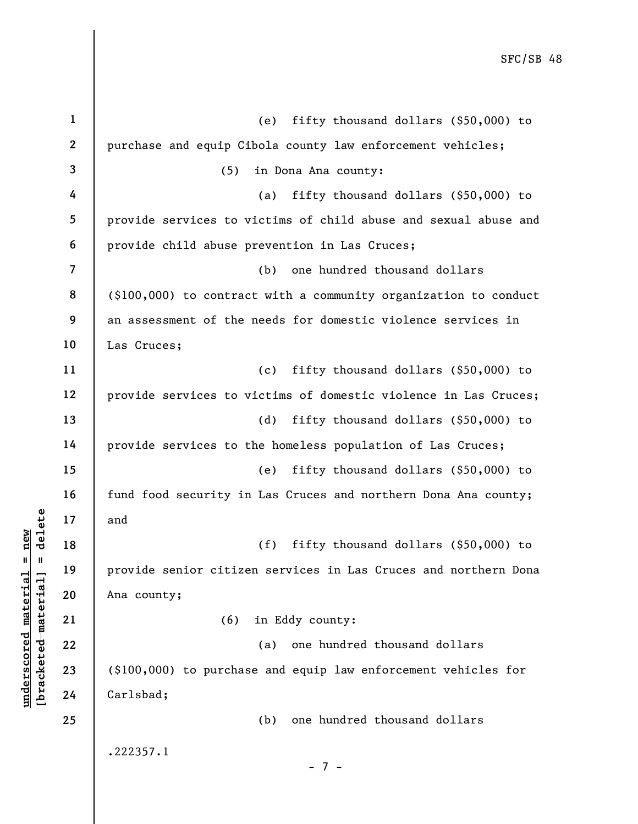|                         | $\mathbf{1}$     | fifty thousand dollars (\$50,000) to<br>(e)                      |
|-------------------------|------------------|------------------------------------------------------------------|
|                         | $\boldsymbol{2}$ | purchase and equip Cibola county law enforcement vehicles;       |
|                         | 3                | (5)<br>in Dona Ana county:                                       |
|                         | 4                | fifty thousand dollars $(§50,000)$ to<br>(a)                     |
|                         | 5                | provide services to victims of child abuse and sexual abuse and  |
|                         | 6                | provide child abuse prevention in Las Cruces;                    |
|                         | $\overline{7}$   | one hundred thousand dollars<br>(b)                              |
|                         | 8                | (\$100,000) to contract with a community organization to conduct |
|                         | 9                | an assessment of the needs for domestic violence services in     |
|                         | 10               | Las Cruces;                                                      |
|                         | 11               | fifty thousand dollars (\$50,000) to<br>(c)                      |
|                         | 12               | provide services to victims of domestic violence in Las Cruces;  |
|                         | 13               | fifty thousand dollars (\$50,000) to<br>(d)                      |
|                         | 14               | provide services to the homeless population of Las Cruces;       |
|                         | 15               | fifty thousand dollars (\$50,000) to<br>(e)                      |
|                         | 16               | fund food security in Las Cruces and northern Dona Ana county;   |
| delete                  | 17               | and                                                              |
| new                     | 18               | fifty thousand dollars (\$50,000) to<br>(f)                      |
| II                      | 19               | provide senior citizen services in Las Cruces and northern Dona  |
| material                | 20               | Ana county;                                                      |
| underscored materia     | 21               | in Eddy county:<br>(6)                                           |
|                         | 22               | one hundred thousand dollars<br>(a)                              |
| [ <del>brack</del> eted | 23               | (\$100,000) to purchase and equip law enforcement vehicles for   |
|                         | 24               | Carlsbad;                                                        |
|                         | 25               | one hundred thousand dollars<br>(b)                              |
|                         |                  | .222357.1<br>$-7-$                                               |
|                         |                  |                                                                  |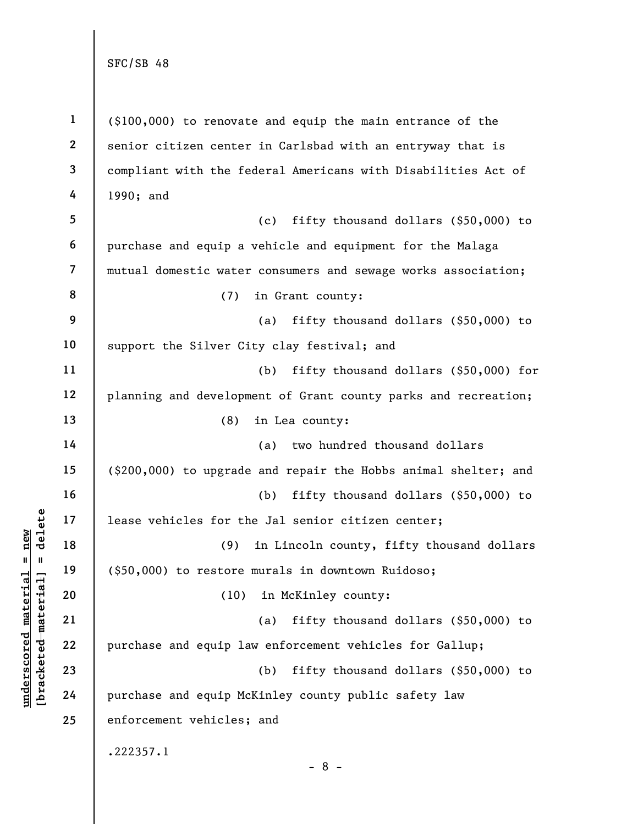underscored material = new [bracketed material] = delete 1 2 3 4 5 6 7 8 9 10 11 12 13 14 15 16 17 18 19 20 21 22 23 24 25 (\$100,000) to renovate and equip the main entrance of the senior citizen center in Carlsbad with an entryway that is compliant with the federal Americans with Disabilities Act of 1990; and (c) fifty thousand dollars (\$50,000) to purchase and equip a vehicle and equipment for the Malaga mutual domestic water consumers and sewage works association; (7) in Grant county: (a) fifty thousand dollars (\$50,000) to support the Silver City clay festival; and (b) fifty thousand dollars (\$50,000) for planning and development of Grant county parks and recreation; (8) in Lea county: (a) two hundred thousand dollars (\$200,000) to upgrade and repair the Hobbs animal shelter; and (b) fifty thousand dollars (\$50,000) to lease vehicles for the Jal senior citizen center; (9) in Lincoln county, fifty thousand dollars (\$50,000) to restore murals in downtown Ruidoso; (10) in McKinley county: (a) fifty thousand dollars (\$50,000) to purchase and equip law enforcement vehicles for Gallup; (b) fifty thousand dollars (\$50,000) to purchase and equip McKinley county public safety law enforcement vehicles; and .222357.1 - 8 -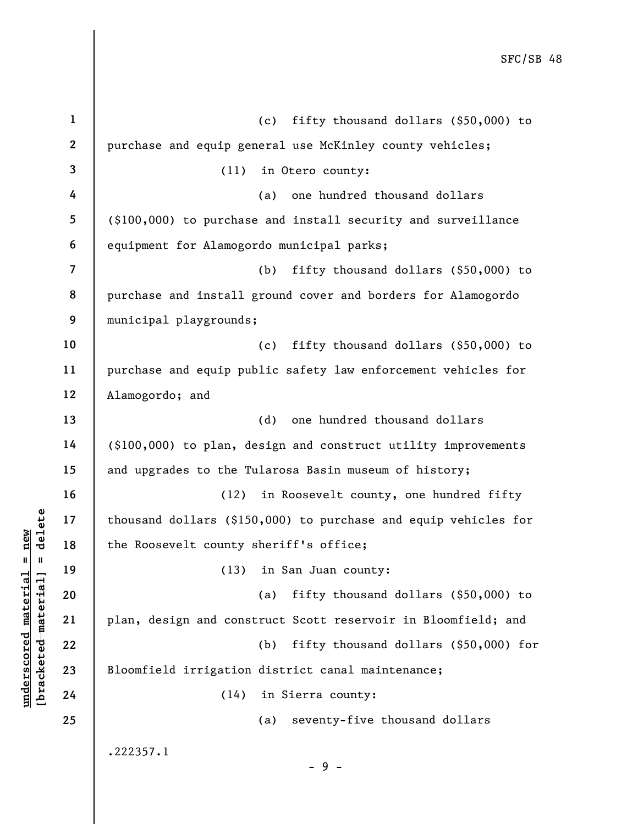|                                              | $\mathbf 1$    | fifty thousand dollars (\$50,000) to<br>(c)                     |
|----------------------------------------------|----------------|-----------------------------------------------------------------|
|                                              | $\mathbf{2}$   | purchase and equip general use McKinley county vehicles;        |
|                                              | 3              | (11)<br>in Otero county:                                        |
|                                              | 4              | one hundred thousand dollars<br>(a)                             |
|                                              | 5              | (\$100,000) to purchase and install security and surveillance   |
|                                              | 6              | equipment for Alamogordo municipal parks;                       |
|                                              | $\overline{7}$ | fifty thousand dollars (\$50,000) to<br>(b)                     |
|                                              | 8              | purchase and install ground cover and borders for Alamogordo    |
|                                              | 9              | municipal playgrounds;                                          |
|                                              | 10             | fifty thousand dollars (\$50,000) to<br>(c)                     |
|                                              | 11             | purchase and equip public safety law enforcement vehicles for   |
|                                              | 12             | Alamogordo; and                                                 |
|                                              | 13             | (d)<br>one hundred thousand dollars                             |
|                                              | 14             | (\$100,000) to plan, design and construct utility improvements  |
|                                              | 15             | and upgrades to the Tularosa Basin museum of history;           |
|                                              | 16             | in Roosevelt county, one hundred fifty<br>(12)                  |
| delete                                       | 17             | thousand dollars (\$150,000) to purchase and equip vehicles for |
| new                                          | 18             | the Roosevelt county sheriff's office;                          |
| $\sf II$<br>- 11                             | 19             | (13) in San Juan county:                                        |
| materia <sup>-</sup>                         | 20             | fifty thousand dollars (\$50,000) to<br>(a)                     |
| [ <del>brack</del> ete <del>d material</del> | 21             | plan, design and construct Scott reservoir in Bloomfield; and   |
|                                              | 22             | fifty thousand dollars (\$50,000) for<br>(b)                    |
|                                              | 23             | Bloomfield irrigation district canal maintenance;               |
| underscored                                  | 24             | (14)<br>in Sierra county:                                       |
|                                              | 25             | seventy-five thousand dollars<br>(a)                            |
|                                              |                | .222357.1<br>-9-                                                |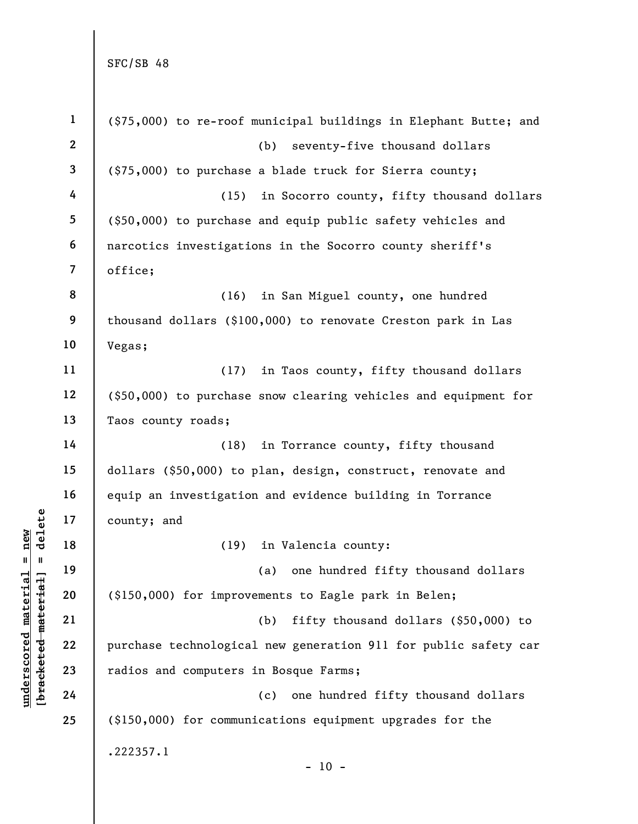|                                | $\mathbf{1}$            | (\$75,000) to re-roof municipal buildings in Elephant Butte; and |
|--------------------------------|-------------------------|------------------------------------------------------------------|
|                                | $\mathbf{2}$            | (b)<br>seventy-five thousand dollars                             |
|                                | 3                       | (\$75,000) to purchase a blade truck for Sierra county;          |
|                                | 4                       | in Socorro county, fifty thousand dollars<br>(15)                |
|                                | 5                       | (\$50,000) to purchase and equip public safety vehicles and      |
|                                | 6                       | narcotics investigations in the Socorro county sheriff's         |
|                                | $\overline{\mathbf{7}}$ | office;                                                          |
|                                | 8                       | (16)<br>in San Miguel county, one hundred                        |
|                                | 9                       | thousand dollars (\$100,000) to renovate Creston park in Las     |
|                                | 10                      | Vegas;                                                           |
|                                | 11                      | (17)<br>in Taos county, fifty thousand dollars                   |
|                                | 12                      | (\$50,000) to purchase snow clearing vehicles and equipment for  |
|                                | 13                      | Taos county roads;                                               |
|                                | 14                      | (18)<br>in Torrance county, fifty thousand                       |
|                                | 15                      | dollars (\$50,000) to plan, design, construct, renovate and      |
|                                | 16                      | equip an investigation and evidence building in Torrance         |
| delete                         | 17                      | county; and                                                      |
| new                            | 18                      | in Valencia county:<br>(19)                                      |
| $\mathbf{II}$<br>$\mathbf{u}$  | 19                      | (a) one hundred fifty thousand dollars                           |
| materia<br>[bracketed material | 20                      | (\$150,000) for improvements to Eagle park in Belen;             |
|                                | 21                      | fifty thousand dollars (\$50,000) to<br>(b)                      |
|                                | 22                      | purchase technological new generation 911 for public safety car  |
| $\bm{{\rm underscore}}$        | 23                      | radios and computers in Bosque Farms;                            |
|                                | 24                      | one hundred fifty thousand dollars<br>(c)                        |
|                                | 25                      | (\$150,000) for communications equipment upgrades for the        |
|                                |                         | .222357.1                                                        |
|                                |                         | $-10 -$                                                          |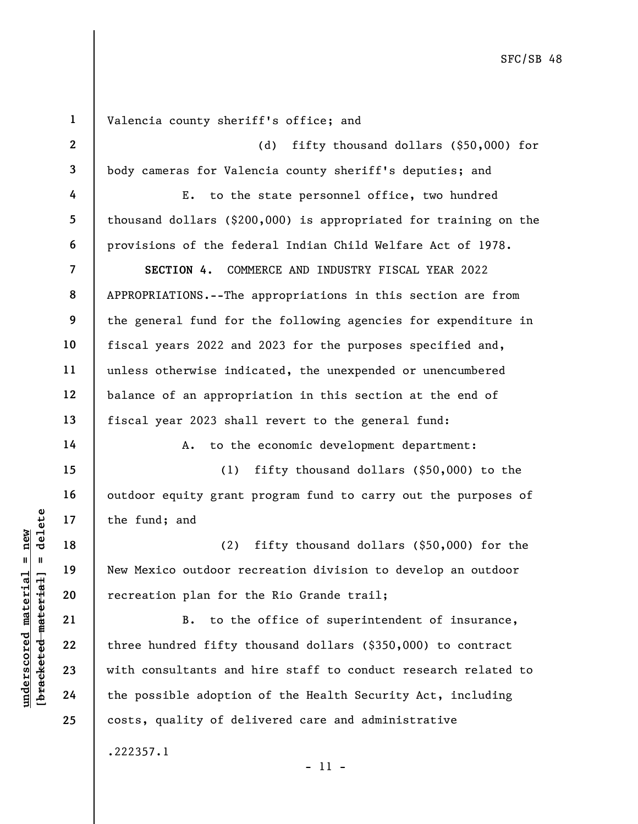underscored material material material and<br>  $\begin{array}{c|c|c|c} \hline \text{u} & \text{u} & \text{u} & \text{u} \end{array}$  the fund; and<br>  $\begin{array}{c|c} \text{u} & \text{u} & \text{u} \end{array}$  is the fundroof represention plan for the<br>  $\begin{array}{c|c} \text{u} & \text{u} & \text{u} \end{array}$  and 1 2 3 4 5 6 7 8 9 10 11 12 13 14 15 16 17 18 19 20 21 22 23 24 25 Valencia county sheriff's office; and (d) fifty thousand dollars (\$50,000) for body cameras for Valencia county sheriff's deputies; and E. to the state personnel office, two hundred thousand dollars (\$200,000) is appropriated for training on the provisions of the federal Indian Child Welfare Act of 1978. SECTION 4. COMMERCE AND INDUSTRY FISCAL YEAR 2022 APPROPRIATIONS.--The appropriations in this section are from the general fund for the following agencies for expenditure in fiscal years 2022 and 2023 for the purposes specified and, unless otherwise indicated, the unexpended or unencumbered balance of an appropriation in this section at the end of fiscal year 2023 shall revert to the general fund: A. to the economic development department: (1) fifty thousand dollars (\$50,000) to the outdoor equity grant program fund to carry out the purposes of the fund; and (2) fifty thousand dollars (\$50,000) for the New Mexico outdoor recreation division to develop an outdoor recreation plan for the Rio Grande trail; B. to the office of superintendent of insurance, three hundred fifty thousand dollars (\$350,000) to contract with consultants and hire staff to conduct research related to the possible adoption of the Health Security Act, including costs, quality of delivered care and administrative .222357.1

- 11 -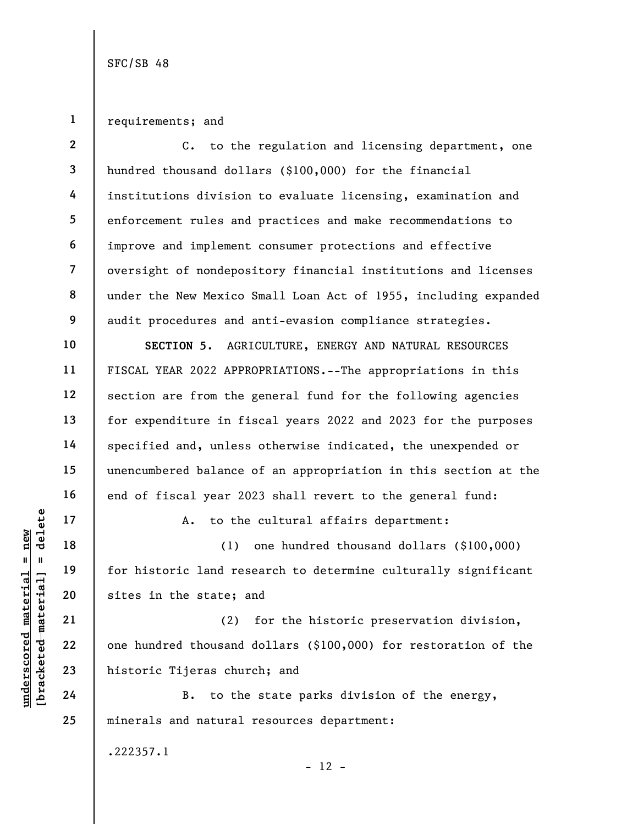1 requirements; and

underscored material material and the state; a<br>
weight a new form is to the state; a<br>
weight a new pairs in the state; a<br>
weight a new pairs in the state; a<br>
21<br>
22<br>
23<br>
24<br>
24<br>
B. to the 2 3 4 5 6 7 8 9 10 11 12 13 14 15 16 17 18 19 20 21 22 23 24 25 C. to the regulation and licensing department, one hundred thousand dollars (\$100,000) for the financial institutions division to evaluate licensing, examination and enforcement rules and practices and make recommendations to improve and implement consumer protections and effective oversight of nondepository financial institutions and licenses under the New Mexico Small Loan Act of 1955, including expanded audit procedures and anti-evasion compliance strategies. SECTION 5. AGRICULTURE, ENERGY AND NATURAL RESOURCES FISCAL YEAR 2022 APPROPRIATIONS.--The appropriations in this section are from the general fund for the following agencies for expenditure in fiscal years 2022 and 2023 for the purposes specified and, unless otherwise indicated, the unexpended or unencumbered balance of an appropriation in this section at the end of fiscal year 2023 shall revert to the general fund: A. to the cultural affairs department: (1) one hundred thousand dollars (\$100,000) for historic land research to determine culturally significant sites in the state; and (2) for the historic preservation division, one hundred thousand dollars (\$100,000) for restoration of the historic Tijeras church; and B. to the state parks division of the energy, minerals and natural resources department:

.222357.1

 $- 12 -$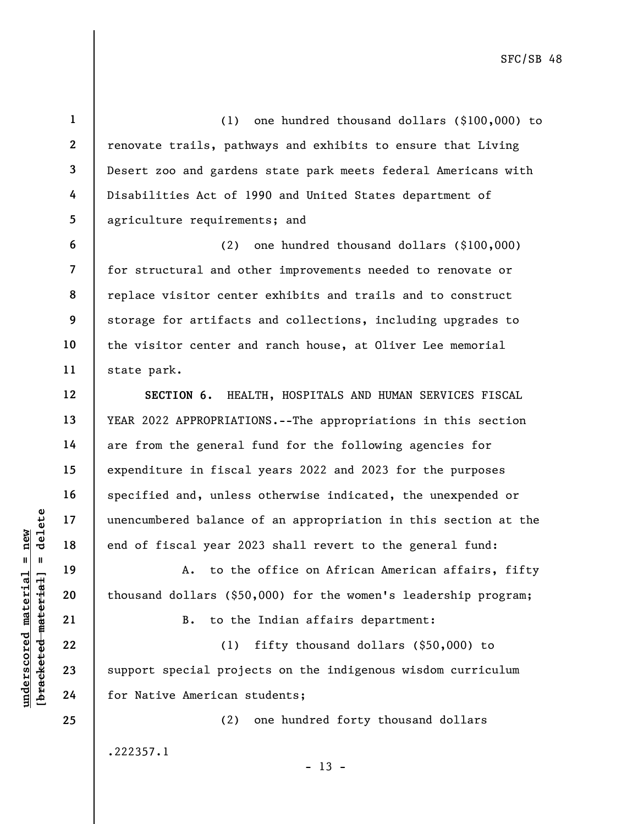1 3 4 5 (1) one hundred thousand dollars (\$100,000) to renovate trails, pathways and exhibits to ensure that Living Desert zoo and gardens state park meets federal Americans with Disabilities Act of 1990 and United States department of agriculture requirements; and

(2) one hundred thousand dollars (\$100,000) for structural and other improvements needed to renovate or replace visitor center exhibits and trails and to construct storage for artifacts and collections, including upgrades to the visitor center and ranch house, at Oliver Lee memorial state park.

SECTION 6. HEALTH, HOSPITALS AND HUMAN SERVICES FISCAL YEAR 2022 APPROPRIATIONS.--The appropriations in this section are from the general fund for the following agencies for expenditure in fiscal years 2022 and 2023 for the purposes specified and, unless otherwise indicated, the unexpended or unencumbered balance of an appropriation in this section at the end of fiscal year 2023 shall revert to the general fund:

A. to the office on African American affairs, fifty thousand dollars (\$50,000) for the women's leadership program;

B. to the Indian affairs department:

underscored material = new [bracketed material] = delete (1) fifty thousand dollars (\$50,000) to support special projects on the indigenous wisdom curriculum for Native American students;

(2) one hundred forty thousand dollars

 $- 13 -$ 

2

6

7

8

9

10

11

12

13

14

15

16

17

18

19

20

21

22

23

24

25

.222357.1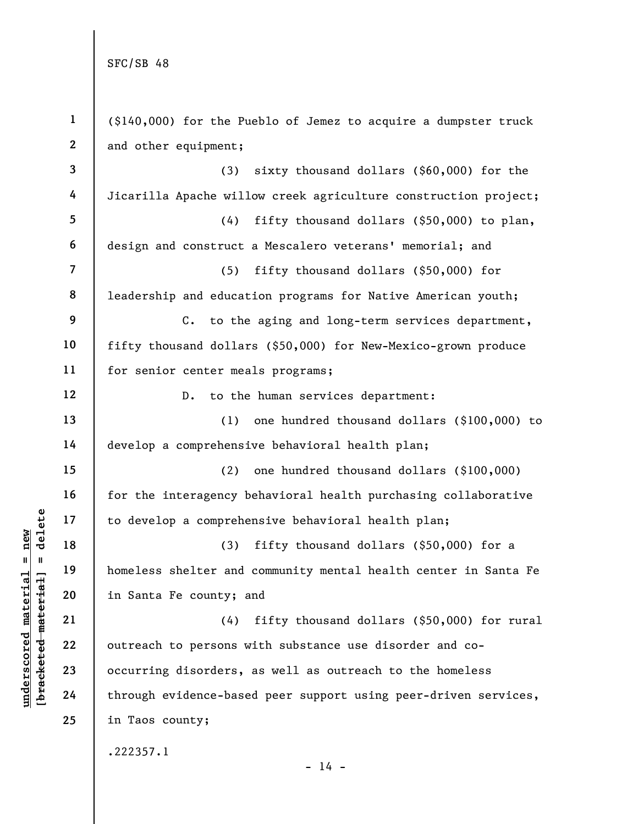$\frac{\text{underscored material = new}}{\text{b*aeeketed-material}}$  = delete

| $\mathbf{1}$     | $(\$140,000)$ for the Pueblo of Jemez to acquire a dumpster truck |
|------------------|-------------------------------------------------------------------|
| $\boldsymbol{2}$ | and other equipment;                                              |
| $\overline{3}$   | sixty thousand dollars (\$60,000) for the<br>(3)                  |
| 4                | Jicarilla Apache willow creek agriculture construction project;   |
| 5                | fifty thousand dollars (\$50,000) to plan,<br>(4)                 |
| $\boldsymbol{6}$ | design and construct a Mescalero veterans' memorial; and          |
| $\overline{7}$   | fifty thousand dollars (\$50,000) for<br>(5)                      |
| 8                | leadership and education programs for Native American youth;      |
| $\boldsymbol{9}$ | C. to the aging and long-term services department,                |
| 10               | fifty thousand dollars (\$50,000) for New-Mexico-grown produce    |
| 11               | for senior center meals programs;                                 |
| 12               | to the human services department:<br>$D$ .                        |
| 13               | one hundred thousand dollars (\$100,000) to<br>(1)                |
| 14               | develop a comprehensive behavioral health plan;                   |
| 15               | one hundred thousand dollars (\$100,000)<br>(2)                   |
| 16               | for the interagency behavioral health purchasing collaborative    |
| 17               | to develop a comprehensive behavioral health plan;                |
| 18               | fifty thousand dollars (\$50,000) for a<br>(3)                    |
| 19               | homeless shelter and community mental health center in Santa Fe   |
| 20               | in Santa Fe county; and                                           |
| 21               | fifty thousand dollars (\$50,000) for rural<br>(4)                |
| 22               | outreach to persons with substance use disorder and co-           |
| 23               | occurring disorders, as well as outreach to the homeless          |
| 24               | through evidence-based peer support using peer-driven services,   |
| 25               | in Taos county;                                                   |
|                  | .222357.1<br>$-14 -$                                              |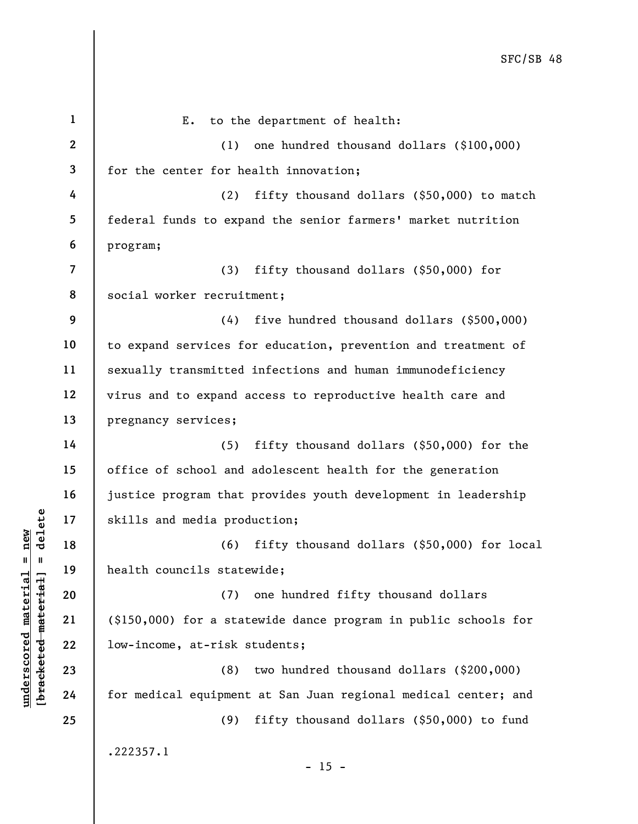|                                              | $\mathbf{1}$   | to the department of health:<br>Ε.                              |
|----------------------------------------------|----------------|-----------------------------------------------------------------|
|                                              | $\mathbf{2}$   | one hundred thousand dollars (\$100,000)<br>(1)                 |
|                                              | 3              | for the center for health innovation;                           |
|                                              | 4              | (2)<br>fifty thousand dollars (\$50,000) to match               |
|                                              | 5              | federal funds to expand the senior farmers' market nutrition    |
|                                              | 6              | program;                                                        |
|                                              | $\overline{7}$ | (3)<br>fifty thousand dollars $(\$50,000)$ for                  |
|                                              | 8              | social worker recruitment;                                      |
|                                              | 9              | (4)<br>five hundred thousand dollars (\$500,000)                |
|                                              | 10             | to expand services for education, prevention and treatment of   |
|                                              | 11             | sexually transmitted infections and human immunodeficiency      |
|                                              | 12             | virus and to expand access to reproductive health care and      |
|                                              | 13             | pregnancy services;                                             |
|                                              | 14             | fifty thousand dollars (\$50,000) for the<br>(5)                |
|                                              | 15             | office of school and adolescent health for the generation       |
|                                              | 16             | justice program that provides youth development in leadership   |
| delete                                       | 17             | skills and media production;                                    |
| new                                          | 18             | fifty thousand dollars (\$50,000) for local<br>(6)              |
| II.<br>$\mathbf{I}$                          | 19             | health councils statewide;                                      |
|                                              | 20             | one hundred fifty thousand dollars<br>(7)                       |
|                                              | 21             | (\$150,000) for a statewide dance program in public schools for |
| [ <del>brack</del> ete <del>d material</del> | 22             | low-income, at-risk students;                                   |
| underscored material                         | 23             | (8)<br>two hundred thousand dollars (\$200,000)                 |
|                                              | 24             | for medical equipment at San Juan regional medical center; and  |
|                                              | 25             | fifty thousand dollars (\$50,000) to fund<br>(9)                |
|                                              |                | .222357.1<br>$-15 -$                                            |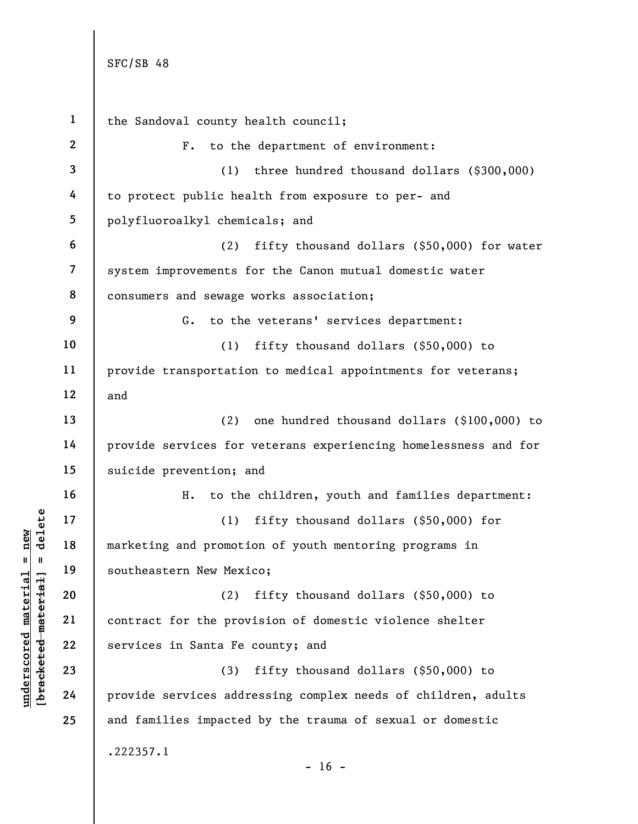underscored material = new [bracketed material] = delete 1 2 3 4 5 6 7 8 9 10 11 12 13 14 15 16 17 18 19 20 21 22 23 24 25 the Sandoval county health council; F. to the department of environment: (1) three hundred thousand dollars (\$300,000) to protect public health from exposure to per- and polyfluoroalkyl chemicals; and (2) fifty thousand dollars (\$50,000) for water system improvements for the Canon mutual domestic water consumers and sewage works association; G. to the veterans' services department: (1) fifty thousand dollars (\$50,000) to provide transportation to medical appointments for veterans; and (2) one hundred thousand dollars (\$100,000) to provide services for veterans experiencing homelessness and for suicide prevention; and H. to the children, youth and families department: (1) fifty thousand dollars (\$50,000) for marketing and promotion of youth mentoring programs in southeastern New Mexico; (2) fifty thousand dollars (\$50,000) to contract for the provision of domestic violence shelter services in Santa Fe county; and (3) fifty thousand dollars (\$50,000) to provide services addressing complex needs of children, adults and families impacted by the trauma of sexual or domestic .222357.1  $- 16 -$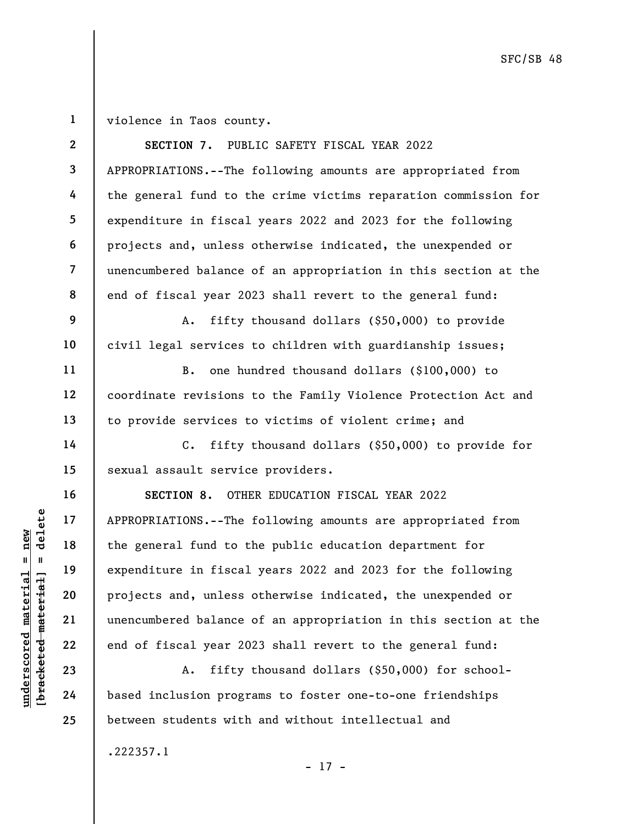1 violence in Taos county.

|                            | $\mathbf{2}$   | SECTION 7. PUBLIC SAFETY FISCAL YEAR 2022                          |
|----------------------------|----------------|--------------------------------------------------------------------|
|                            | $\mathbf{3}$   | APPROPRIATIONS.--The following amounts are appropriated from       |
|                            | 4              | the general fund to the crime victims reparation commission for    |
|                            | 5              | expenditure in fiscal years 2022 and 2023 for the following        |
|                            | 6              | projects and, unless otherwise indicated, the unexpended or        |
|                            | $\overline{7}$ | unencumbered balance of an appropriation in this section at the    |
|                            | 8              | end of fiscal year 2023 shall revert to the general fund:          |
|                            | 9              | fifty thousand dollars (\$50,000) to provide<br>Α.                 |
|                            | 10             | civil legal services to children with guardianship issues;         |
|                            | 11             | one hundred thousand dollars (\$100,000) to<br>$B$ .               |
|                            | 12             | coordinate revisions to the Family Violence Protection Act and     |
|                            | 13             | to provide services to victims of violent crime; and               |
|                            | 14             | fifty thousand dollars (\$50,000) to provide for<br>$\mathsf{C}$ . |
|                            | 15             | sexual assault service providers.                                  |
|                            | 16             | SECTION 8. OTHER EDUCATION FISCAL YEAR 2022                        |
| delete                     | 17             | APPROPRIATIONS.--The following amounts are appropriated from       |
| new                        | 18             | the general fund to the public education department for            |
| II<br>- II                 | 19             | expenditure in fiscal years 2022 and 2023 for the following        |
| material<br>$_{\rm{flat}}$ | 20             | projects and, unless otherwise indicated, the unexpended or        |
| mater                      | 21             | unencumbered balance of an appropriation in this section at the    |
|                            | 22             | end of fiscal year 2023 shall revert to the general fund:          |
| bracketed                  | 23             | fifty thousand dollars (\$50,000) for school-<br>A.                |
| $\bm{{\rm underscore}}$    | 24             | based inclusion programs to foster one-to-one friendships          |

between students with and without intellectual and

- 17 -

.222357.1

25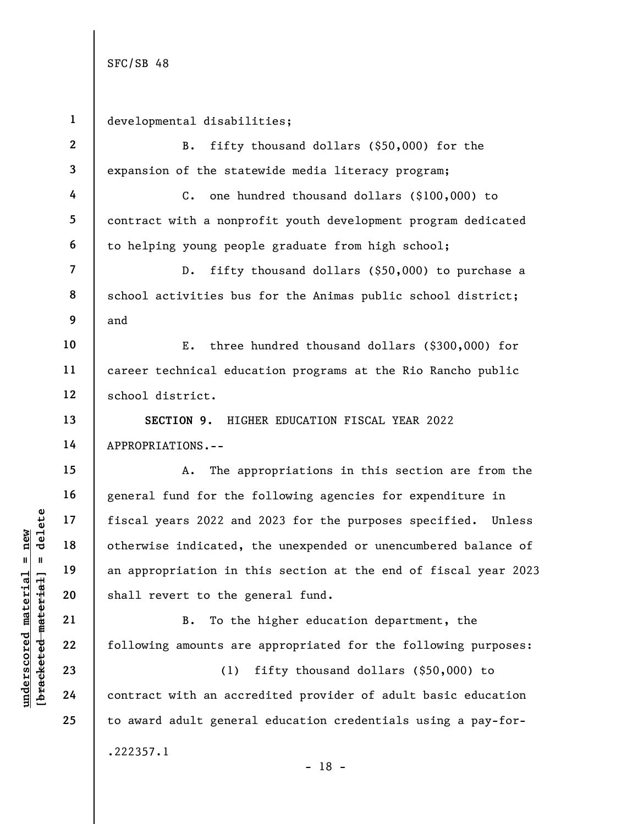underscore material material state of the material of the material of the material of the shall revert to the g<br>definition in the shall revert to the g<br>and shall revert to the g<br>and shall revert to the g<br>and shall revert t 1 2 3 4 5 6 7 8 9 10 11 12 13 14 15 16 17 18 19 20 21 22 23 24 25 developmental disabilities; B. fifty thousand dollars (\$50,000) for the expansion of the statewide media literacy program; C. one hundred thousand dollars (\$100,000) to contract with a nonprofit youth development program dedicated to helping young people graduate from high school; D. fifty thousand dollars (\$50,000) to purchase a school activities bus for the Animas public school district; and E. three hundred thousand dollars (\$300,000) for career technical education programs at the Rio Rancho public school district. SECTION 9. HIGHER EDUCATION FISCAL YEAR 2022 APPROPRIATIONS.-- A. The appropriations in this section are from the general fund for the following agencies for expenditure in fiscal years 2022 and 2023 for the purposes specified. Unless otherwise indicated, the unexpended or unencumbered balance of an appropriation in this section at the end of fiscal year 2023 shall revert to the general fund. B. To the higher education department, the following amounts are appropriated for the following purposes: (1) fifty thousand dollars (\$50,000) to contract with an accredited provider of adult basic education to award adult general education credentials using a pay-for- .222357.1 - 18 -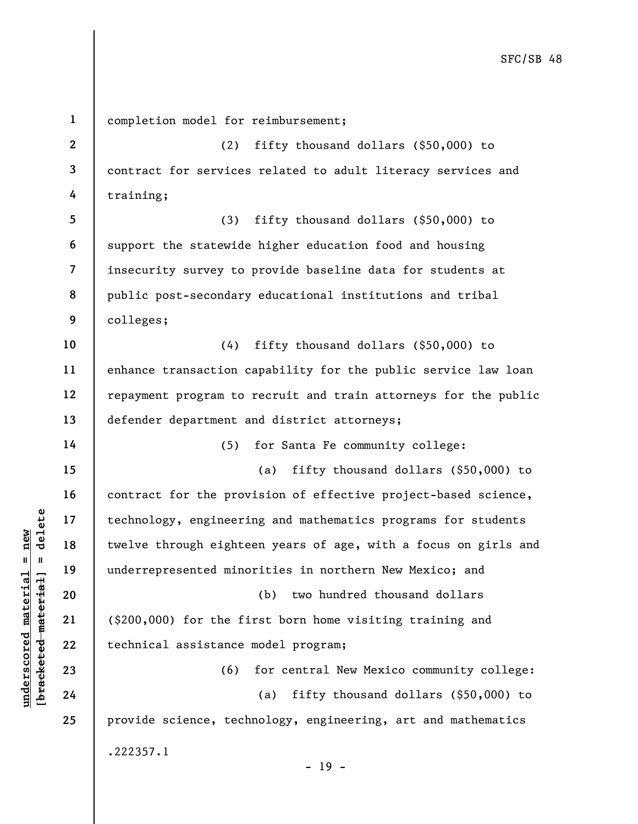under 17<br>
undercriting the chinology, engineeri<br>
underrepresented mind<br>
underrepresented mind<br>
20<br>
underrepresented mind<br>
21<br>
(\$200,000) for the fi<br>
technical assistance<br>
23<br>
24<br>
24 1 2 3 4 5 6 7 8 9 10 11 12 13 14 15 16 17 18 19 20 21 22 23 24 25 completion model for reimbursement; (2) fifty thousand dollars (\$50,000) to contract for services related to adult literacy services and training; (3) fifty thousand dollars (\$50,000) to support the statewide higher education food and housing insecurity survey to provide baseline data for students at public post-secondary educational institutions and tribal colleges; (4) fifty thousand dollars (\$50,000) to enhance transaction capability for the public service law loan repayment program to recruit and train attorneys for the public defender department and district attorneys; (5) for Santa Fe community college: (a) fifty thousand dollars (\$50,000) to contract for the provision of effective project-based science, technology, engineering and mathematics programs for students twelve through eighteen years of age, with a focus on girls and underrepresented minorities in northern New Mexico; and (b) two hundred thousand dollars (\$200,000) for the first born home visiting training and technical assistance model program; (6) for central New Mexico community college: (a) fifty thousand dollars (\$50,000) to provide science, technology, engineering, art and mathematics .222357.1 - 19 -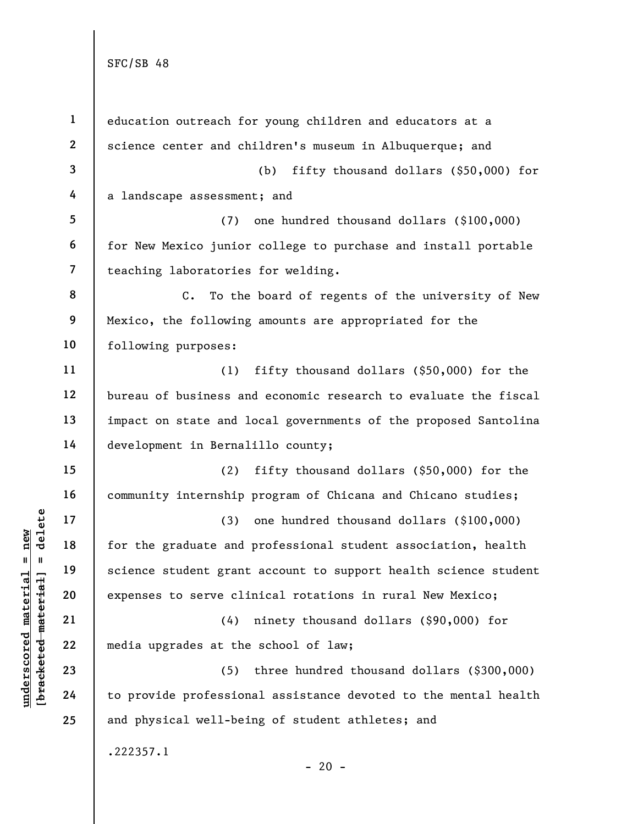| $\mathbf{1}$            | education outreach for young children and educators at a          |
|-------------------------|-------------------------------------------------------------------|
| $\mathbf{2}$            | science center and children's museum in Albuquerque; and          |
| 3                       | fifty thousand dollars (\$50,000) for<br>(b)                      |
| 4                       | a landscape assessment; and                                       |
| 5                       | (7) one hundred thousand dollars (\$100,000)                      |
| 6                       | for New Mexico junior college to purchase and install portable    |
| $\overline{\mathbf{7}}$ | teaching laboratories for welding.                                |
| 8                       | $C_{\bullet}$<br>To the board of regents of the university of New |
| 9                       | Mexico, the following amounts are appropriated for the            |
| 10                      | following purposes:                                               |
| 11                      | fifty thousand dollars $(\$50,000)$ for the<br>(1)                |
| 12                      | bureau of business and economic research to evaluate the fiscal   |
| 13                      | impact on state and local governments of the proposed Santolina   |
| 14                      | development in Bernalillo county;                                 |
| 15                      | fifty thousand dollars (\$50,000) for the<br>(2)                  |
| 16                      | community internship program of Chicana and Chicano studies;      |
| 17                      | (3) one hundred thousand dollars (\$100,000)                      |
| 18                      | for the graduate and professional student association, health     |
| 19                      | science student grant account to support health science student   |
| 20                      | expenses to serve clinical rotations in rural New Mexico;         |
| 21                      | (4)<br>ninety thousand dollars (\$90,000) for                     |
| 22                      | media upgrades at the school of law;                              |
| 23                      | (5)<br>three hundred thousand dollars $(§300,000)$                |
| 24                      | to provide professional assistance devoted to the mental health   |
| 25                      | and physical well-being of student athletes; and                  |
|                         | .222357.1<br>$-20 -$                                              |

 $\frac{\text{underscored material = new}}{\text{b*aeeketed-material}}$  = delete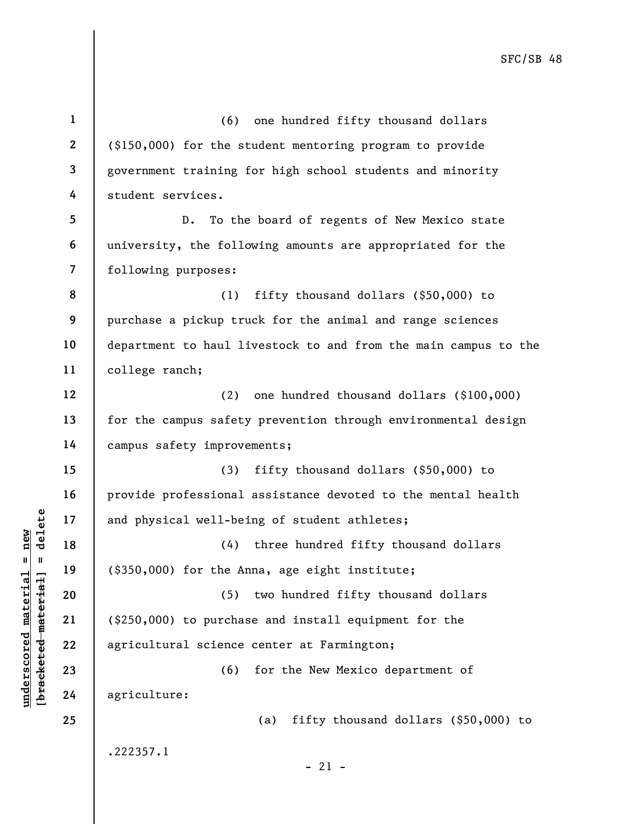underscale material material material material material (4)<br>  $\begin{array}{c|c} \n\text{a} & \text{b} & \text{c} \\
\hline\n\text{a} & \text{d} & \text{d} & \text{e} \\
\text{d} & \text{e} & \text{d} & \text{d} \\
\text{e} & \text{f} & \text{g} & \text{g} \\
\text{h} & \text{g} & \text{h} & \text{h} \\
\text{h} & \text{h} & \text{h} & \text{h} \\
\text{h} & \$ 1 2 3 4 5 6 7 8 9 10 11 12 13 14 15 16 17 18 19 20 21 22 23 24 25 (6) one hundred fifty thousand dollars (\$150,000) for the student mentoring program to provide government training for high school students and minority student services. D. To the board of regents of New Mexico state university, the following amounts are appropriated for the following purposes: (1) fifty thousand dollars (\$50,000) to purchase a pickup truck for the animal and range sciences department to haul livestock to and from the main campus to the college ranch; (2) one hundred thousand dollars (\$100,000) for the campus safety prevention through environmental design campus safety improvements; (3) fifty thousand dollars (\$50,000) to provide professional assistance devoted to the mental health and physical well-being of student athletes; (4) three hundred fifty thousand dollars (\$350,000) for the Anna, age eight institute; (5) two hundred fifty thousand dollars (\$250,000) to purchase and install equipment for the agricultural science center at Farmington; (6) for the New Mexico department of agriculture: (a) fifty thousand dollars (\$50,000) to .222357.1  $-21 -$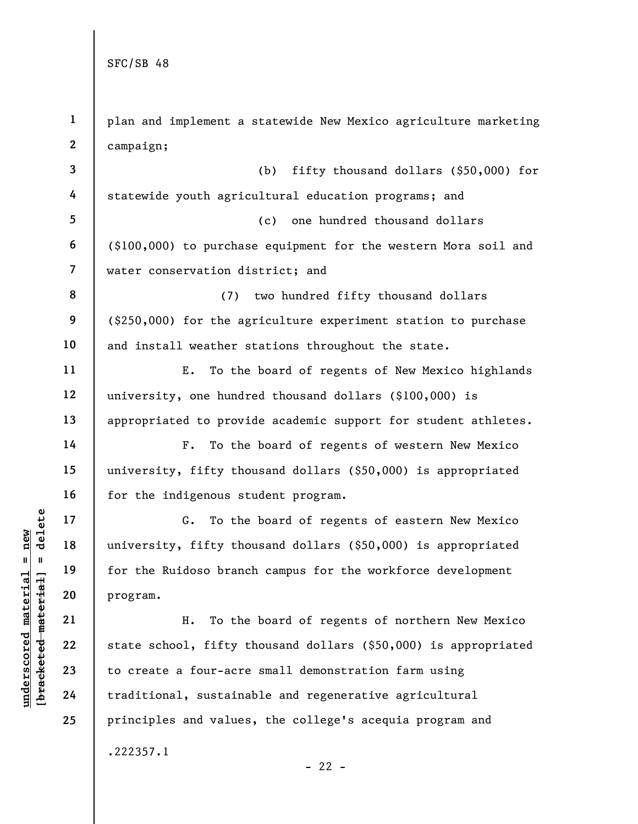understand material material of the Ruidoso branch<br>
and the material of the Ruidoso branch<br>
and the Ruidoso branch<br>
and the Ruidoso branch<br>
21<br>
22<br>
23<br>
24<br>
24<br>
24<br>
22<br>
24<br>
22<br>
24<br>
24<br>
22<br>
24<br>
22<br>
24<br>
22<br>
24<br>
22<br>
24<br>
22<br>
24 1 2 3 4 5 6 7 8 9 10 11 12 13 14 15 16 17 18 19 20 21 22 23 24 25 plan and implement a statewide New Mexico agriculture marketing campaign; (b) fifty thousand dollars (\$50,000) for statewide youth agricultural education programs; and (c) one hundred thousand dollars (\$100,000) to purchase equipment for the western Mora soil and water conservation district; and (7) two hundred fifty thousand dollars (\$250,000) for the agriculture experiment station to purchase and install weather stations throughout the state. E. To the board of regents of New Mexico highlands university, one hundred thousand dollars (\$100,000) is appropriated to provide academic support for student athletes. F. To the board of regents of western New Mexico university, fifty thousand dollars (\$50,000) is appropriated for the indigenous student program. G. To the board of regents of eastern New Mexico university, fifty thousand dollars (\$50,000) is appropriated for the Ruidoso branch campus for the workforce development program. H. To the board of regents of northern New Mexico state school, fifty thousand dollars (\$50,000) is appropriated to create a four-acre small demonstration farm using traditional, sustainable and regenerative agricultural principles and values, the college's acequia program and .222357.1  $- 22 -$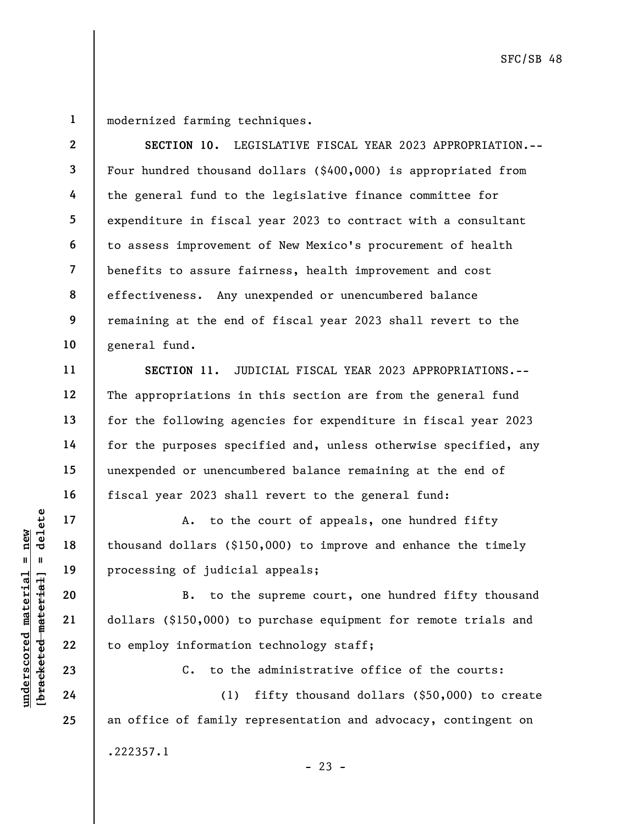1

2

3

4

5

6

7

8

9

10

11

12

13

14

15

16

17

18

19

20

21

22

23

24

25

modernized farming techniques.

SECTION 10. LEGISLATIVE FISCAL YEAR 2023 APPROPRIATION.-- Four hundred thousand dollars (\$400,000) is appropriated from the general fund to the legislative finance committee for expenditure in fiscal year 2023 to contract with a consultant to assess improvement of New Mexico's procurement of health benefits to assure fairness, health improvement and cost effectiveness. Any unexpended or unencumbered balance remaining at the end of fiscal year 2023 shall revert to the general fund.

SECTION 11. JUDICIAL FISCAL YEAR 2023 APPROPRIATIONS.-- The appropriations in this section are from the general fund for the following agencies for expenditure in fiscal year 2023 for the purposes specified and, unless otherwise specified, any unexpended or unencumbered balance remaining at the end of fiscal year 2023 shall revert to the general fund:

A. to the court of appeals, one hundred fifty thousand dollars (\$150,000) to improve and enhance the timely processing of judicial appeals;

underscored material material end of thousand dollars (\$150,000) to the<br>definition of thousand dollars (\$150,000) to be<br>added to employ information<br>dollars (\$150,000) to to the<br>dollars (\$150,000) to to the<br>dollars (\$150,00 B. to the supreme court, one hundred fifty thousand dollars (\$150,000) to purchase equipment for remote trials and to employ information technology staff;

C. to the administrative office of the courts:

(1) fifty thousand dollars (\$50,000) to create an office of family representation and advocacy, contingent on .222357.1

 $- 23 -$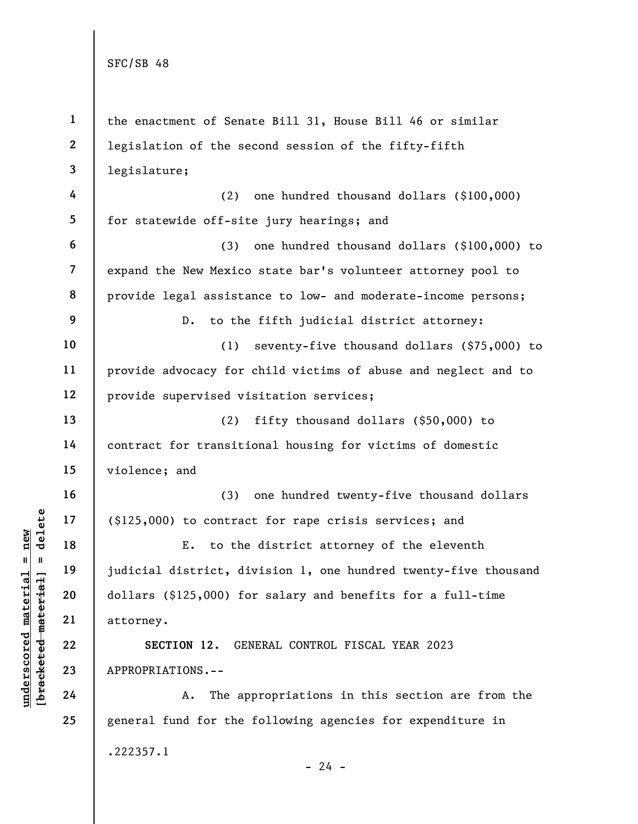|                                  | $\mathbf{1}$            | the enactment of Senate Bill 31, House Bill 46 or similar       |
|----------------------------------|-------------------------|-----------------------------------------------------------------|
|                                  | $\boldsymbol{2}$        | legislation of the second session of the fifty-fifth            |
|                                  | 3                       | legislature;                                                    |
|                                  | 4                       | one hundred thousand dollars (\$100,000)<br>(2)                 |
|                                  | 5                       | for statewide off-site jury hearings; and                       |
|                                  | 6                       | (3)<br>one hundred thousand dollars (\$100,000) to              |
|                                  | $\overline{\mathbf{z}}$ | expand the New Mexico state bar's volunteer attorney pool to    |
|                                  | 8                       | provide legal assistance to low- and moderate-income persons;   |
|                                  | 9                       | to the fifth judicial district attorney:<br>$D$ .               |
|                                  | 10                      | (1)<br>seventy-five thousand dollars (\$75,000) to              |
|                                  | 11                      | provide advocacy for child victims of abuse and neglect and to  |
|                                  | 12                      | provide supervised visitation services;                         |
|                                  | 13                      | (2)<br>fifty thousand dollars $(§50,000)$ to                    |
|                                  | 14                      | contract for transitional housing for victims of domestic       |
|                                  | 15                      | violence; and                                                   |
|                                  | 16                      | one hundred twenty-five thousand dollars<br>(3)                 |
| delete                           | 17                      | (\$125,000) to contract for rape crisis services; and           |
| new                              | 18                      | to the district attorney of the eleventh<br>Ε.                  |
| II<br>Ш                          | 19                      | judicial district, division 1, one hundred twenty-five thousand |
|                                  | 20                      | dollars (\$125,000) for salary and benefits for a full-time     |
| underscored material<br>material | 21                      | attorney.                                                       |
|                                  | 22                      | SECTION 12.<br>GENERAL CONTROL FISCAL YEAR 2023                 |
| [ <del>brack</del> eted          | 23                      | APPROPRIATIONS.--                                               |
|                                  | 24                      | The appropriations in this section are from the<br>Α.           |
|                                  | 25                      | general fund for the following agencies for expenditure in      |
|                                  |                         | .222357.1                                                       |
|                                  |                         | $-24 -$                                                         |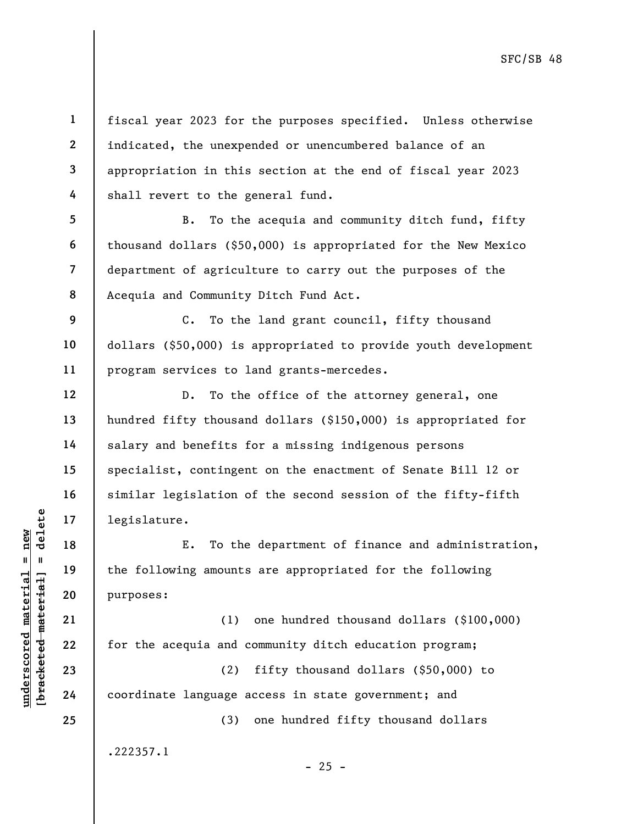understand material material material experience in the following amounts<br>defined a new parameters of the following amounts<br>and purposes:<br>and the following amounts<br>are a new model of the acequia and c<br>defined a coordinate 1 2 3 4 5 6 7 8 9 10 11 12 13 14 15 16 17 18 19 20 21 22 23 24 25 fiscal year 2023 for the purposes specified. Unless otherwise indicated, the unexpended or unencumbered balance of an appropriation in this section at the end of fiscal year 2023 shall revert to the general fund. B. To the acequia and community ditch fund, fifty thousand dollars (\$50,000) is appropriated for the New Mexico department of agriculture to carry out the purposes of the Acequia and Community Ditch Fund Act. C. To the land grant council, fifty thousand dollars (\$50,000) is appropriated to provide youth development program services to land grants-mercedes. D. To the office of the attorney general, one hundred fifty thousand dollars (\$150,000) is appropriated for salary and benefits for a missing indigenous persons specialist, contingent on the enactment of Senate Bill 12 or similar legislation of the second session of the fifty-fifth legislature. E. To the department of finance and administration, the following amounts are appropriated for the following purposes: (1) one hundred thousand dollars (\$100,000) for the acequia and community ditch education program; (2) fifty thousand dollars (\$50,000) to coordinate language access in state government; and (3) one hundred fifty thousand dollars .222357.1  $- 25 -$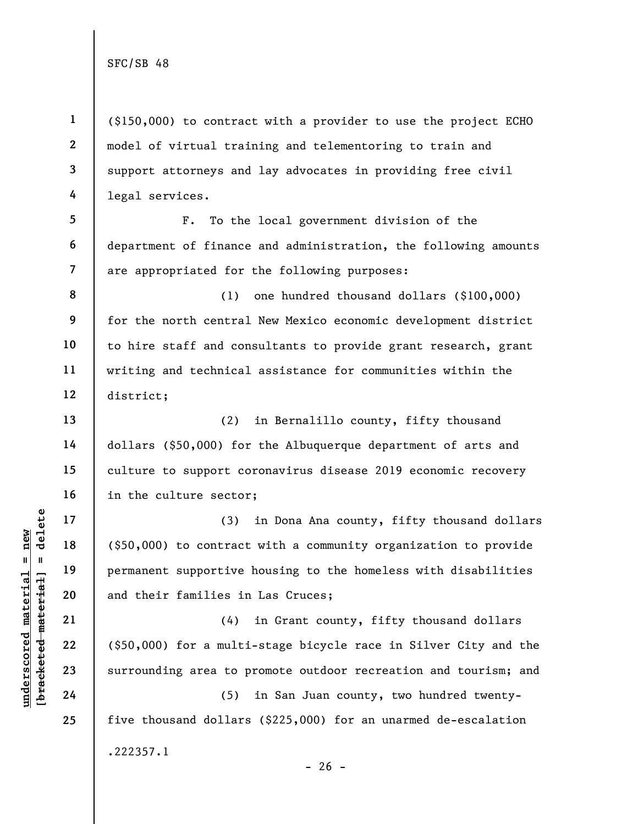5

6

13

14

15

16

17

18

19

20

21

22

23

24

25

1 2 3 4 (\$150,000) to contract with a provider to use the project ECHO model of virtual training and telementoring to train and support attorneys and lay advocates in providing free civil legal services.

7 F. To the local government division of the department of finance and administration, the following amounts are appropriated for the following purposes:

8 9 10 11 12 (1) one hundred thousand dollars (\$100,000) for the north central New Mexico economic development district to hire staff and consultants to provide grant research, grant writing and technical assistance for communities within the district;

(2) in Bernalillo county, fifty thousand dollars (\$50,000) for the Albuquerque department of arts and culture to support coronavirus disease 2019 economic recovery in the culture sector;

underscored material = new [bracketed material] = delete (3) in Dona Ana county, fifty thousand dollars (\$50,000) to contract with a community organization to provide permanent supportive housing to the homeless with disabilities and their families in Las Cruces;

(4) in Grant county, fifty thousand dollars (\$50,000) for a multi-stage bicycle race in Silver City and the surrounding area to promote outdoor recreation and tourism; and

(5) in San Juan county, two hundred twentyfive thousand dollars (\$225,000) for an unarmed de-escalation .222357.1

 $- 26 -$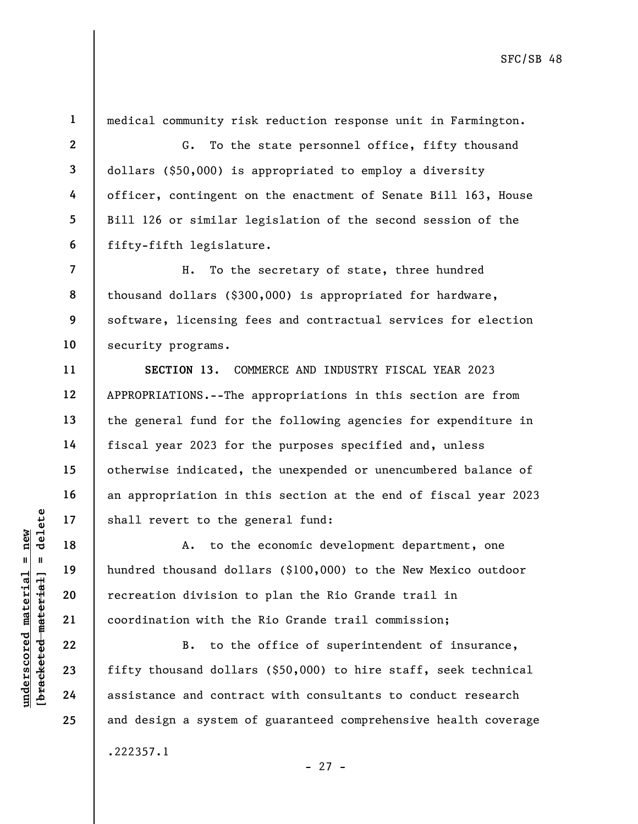1

2

3

4

5

6

7

8

9

10

11

12

13

14

15

16

17

18

19

20

21

22

23

24

25

medical community risk reduction response unit in Farmington.

G. To the state personnel office, fifty thousand dollars (\$50,000) is appropriated to employ a diversity officer, contingent on the enactment of Senate Bill 163, House Bill 126 or similar legislation of the second session of the fifty-fifth legislature.

H. To the secretary of state, three hundred thousand dollars (\$300,000) is appropriated for hardware, software, licensing fees and contractual services for election security programs.

SECTION 13. COMMERCE AND INDUSTRY FISCAL YEAR 2023 APPROPRIATIONS.--The appropriations in this section are from the general fund for the following agencies for expenditure in fiscal year 2023 for the purposes specified and, unless otherwise indicated, the unexpended or unencumbered balance of an appropriation in this section at the end of fiscal year 2023 shall revert to the general fund:

underscored material shall revert to the g<br>
and the state of the state of the state of the defender of the defender of the defender of the coordination with the<br>
subsety 22<br>
23<br>
24<br>
24<br>
24<br>
24<br>
25<br>
29<br>
29<br>
29<br>
29<br>
29<br>
29<br> A. to the economic development department, one hundred thousand dollars (\$100,000) to the New Mexico outdoor recreation division to plan the Rio Grande trail in coordination with the Rio Grande trail commission;

B. to the office of superintendent of insurance, fifty thousand dollars (\$50,000) to hire staff, seek technical assistance and contract with consultants to conduct research and design a system of guaranteed comprehensive health coverage .222357.1

- 27 -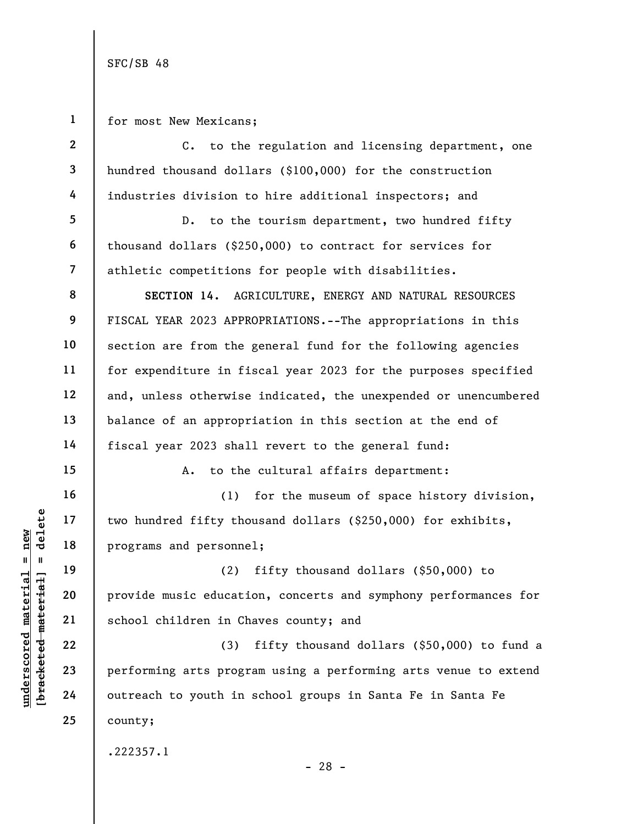1 for most New Mexicans;

understand material material ethnic in the determine area of the programs and personne<br>determined material school children in Chapter 22<br>google material school children in Chapter 22<br>23<br>google 23<br>24 outreach to youth in 2 3 4 5 6 7 8 9 10 11 12 13 14 15 16 17 18 19 20 21 22 23 24 25 C. to the regulation and licensing department, one hundred thousand dollars (\$100,000) for the construction industries division to hire additional inspectors; and D. to the tourism department, two hundred fifty thousand dollars (\$250,000) to contract for services for athletic competitions for people with disabilities. SECTION 14. AGRICULTURE, ENERGY AND NATURAL RESOURCES FISCAL YEAR 2023 APPROPRIATIONS.--The appropriations in this section are from the general fund for the following agencies for expenditure in fiscal year 2023 for the purposes specified and, unless otherwise indicated, the unexpended or unencumbered balance of an appropriation in this section at the end of fiscal year 2023 shall revert to the general fund: A. to the cultural affairs department: (1) for the museum of space history division, two hundred fifty thousand dollars (\$250,000) for exhibits, programs and personnel; (2) fifty thousand dollars (\$50,000) to provide music education, concerts and symphony performances for school children in Chaves county; and (3) fifty thousand dollars (\$50,000) to fund a performing arts program using a performing arts venue to extend outreach to youth in school groups in Santa Fe in Santa Fe county; .222357.1

- 28 -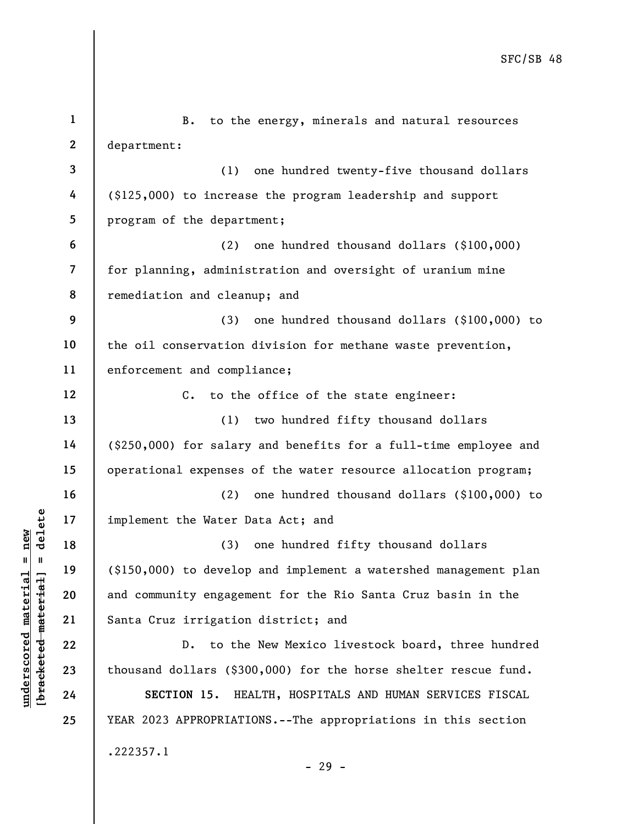underscored material material end of the Mater D.<br>
19 (\$150,000) to develop and community engagem<br>
21 Santa Cruz irrigation<br>
22 D. to the<br>
23 thousand dollars (\$30<br>
24 SECTION 15. HE 1 2 3 4 5 6 7 8 9 10 11 12 13 14 15 16 17 18 19 20 21 22 23 24 25 B. to the energy, minerals and natural resources department: (1) one hundred twenty-five thousand dollars (\$125,000) to increase the program leadership and support program of the department; (2) one hundred thousand dollars (\$100,000) for planning, administration and oversight of uranium mine remediation and cleanup; and (3) one hundred thousand dollars (\$100,000) to the oil conservation division for methane waste prevention, enforcement and compliance; C. to the office of the state engineer: (1) two hundred fifty thousand dollars (\$250,000) for salary and benefits for a full-time employee and operational expenses of the water resource allocation program; (2) one hundred thousand dollars (\$100,000) to implement the Water Data Act; and (3) one hundred fifty thousand dollars (\$150,000) to develop and implement a watershed management plan and community engagement for the Rio Santa Cruz basin in the Santa Cruz irrigation district; and D. to the New Mexico livestock board, three hundred thousand dollars (\$300,000) for the horse shelter rescue fund. SECTION 15. HEALTH, HOSPITALS AND HUMAN SERVICES FISCAL YEAR 2023 APPROPRIATIONS.--The appropriations in this section .222357.1 - 29 -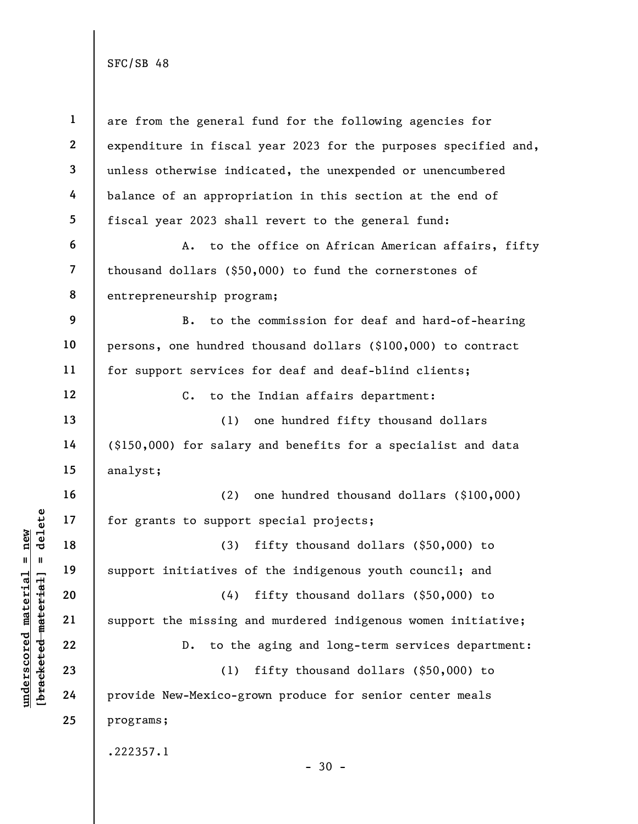underscored material material material material material contractions of the material contractions of the material contractions of the material contractions of the material contractions of the material contractions of the 1 2 3 4 5 6 7 8 9 10 11 12 13 14 15 16 17 18 19 20 21 22 23 24 25 are from the general fund for the following agencies for expenditure in fiscal year 2023 for the purposes specified and, unless otherwise indicated, the unexpended or unencumbered balance of an appropriation in this section at the end of fiscal year 2023 shall revert to the general fund: A. to the office on African American affairs, fifty thousand dollars (\$50,000) to fund the cornerstones of entrepreneurship program; B. to the commission for deaf and hard-of-hearing persons, one hundred thousand dollars (\$100,000) to contract for support services for deaf and deaf-blind clients; C. to the Indian affairs department: (1) one hundred fifty thousand dollars (\$150,000) for salary and benefits for a specialist and data analyst; (2) one hundred thousand dollars (\$100,000) for grants to support special projects; (3) fifty thousand dollars (\$50,000) to support initiatives of the indigenous youth council; and (4) fifty thousand dollars (\$50,000) to support the missing and murdered indigenous women initiative; D. to the aging and long-term services department: (1) fifty thousand dollars (\$50,000) to provide New-Mexico-grown produce for senior center meals programs; .222357.1  $-30 -$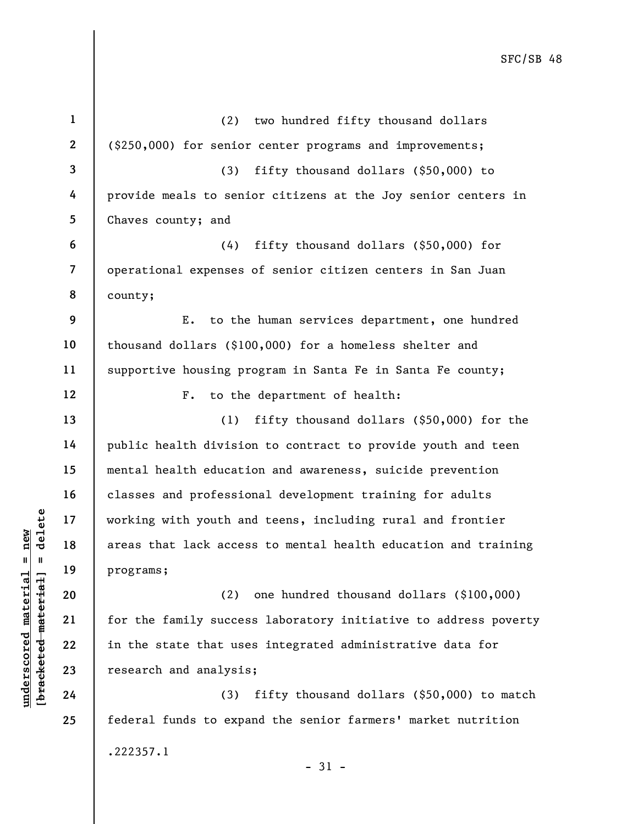underscored material = new [bracketed material] = delete 2 3 4 5 6 7 8 9 10 11 12 13 14 15 16 17 18 19 20 21 22 23 24 county; for the family success laboratory initiative to address poverty in the state that uses integrated administrative data for research and analysis;

25

1

(3) fifty thousand dollars (\$50,000) to match federal funds to expand the senior farmers' market nutrition .222357.1

- 31 -

(2) one hundred thousand dollars (\$100,000)

(2) two hundred fifty thousand dollars (\$250,000) for senior center programs and improvements; (3) fifty thousand dollars (\$50,000) to provide meals to senior citizens at the Joy senior centers in Chaves county; and (4) fifty thousand dollars (\$50,000) for operational expenses of senior citizen centers in San Juan E. to the human services department, one hundred thousand dollars (\$100,000) for a homeless shelter and supportive housing program in Santa Fe in Santa Fe county; F. to the department of health: (1) fifty thousand dollars (\$50,000) for the public health division to contract to provide youth and teen mental health education and awareness, suicide prevention classes and professional development training for adults working with youth and teens, including rural and frontier areas that lack access to mental health education and training programs;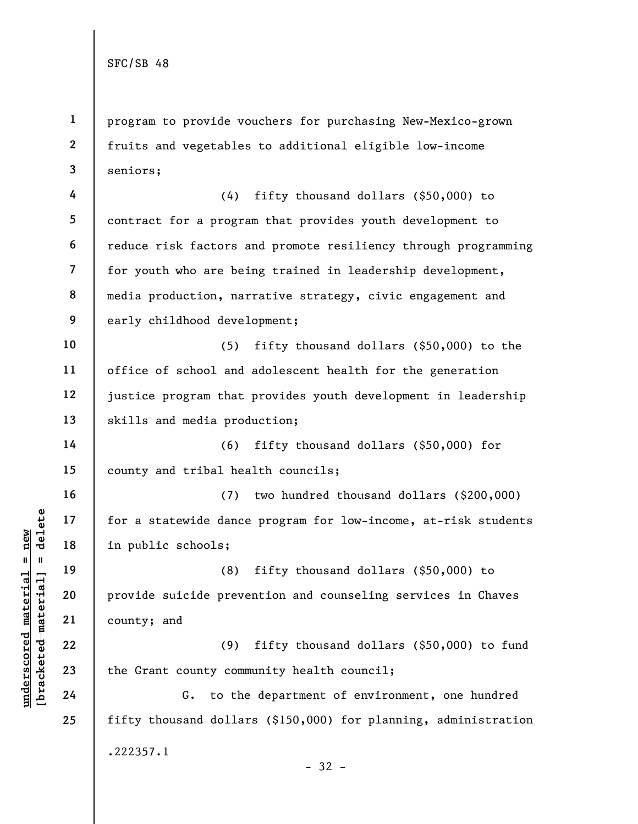1 2 3 program to provide vouchers for purchasing New-Mexico-grown fruits and vegetables to additional eligible low-income seniors;

4 5 6 7 8 9 (4) fifty thousand dollars (\$50,000) to contract for a program that provides youth development to reduce risk factors and promote resiliency through programming for youth who are being trained in leadership development, media production, narrative strategy, civic engagement and early childhood development;

10 11 12 13 (5) fifty thousand dollars (\$50,000) to the office of school and adolescent health for the generation justice program that provides youth development in leadership skills and media production;

14 15 (6) fifty thousand dollars (\$50,000) for county and tribal health councils;

(7) two hundred thousand dollars (\$200,000) for a statewide dance program for low-income, at-risk students in public schools;

underscored material = new [bracketed material] = delete (8) fifty thousand dollars (\$50,000) to provide suicide prevention and counseling services in Chaves county; and

(9) fifty thousand dollars (\$50,000) to fund the Grant county community health council;

G. to the department of environment, one hundred fifty thousand dollars (\$150,000) for planning, administration .222357.1 - 32 -

16

17

18

19

20

21

22

23

24

25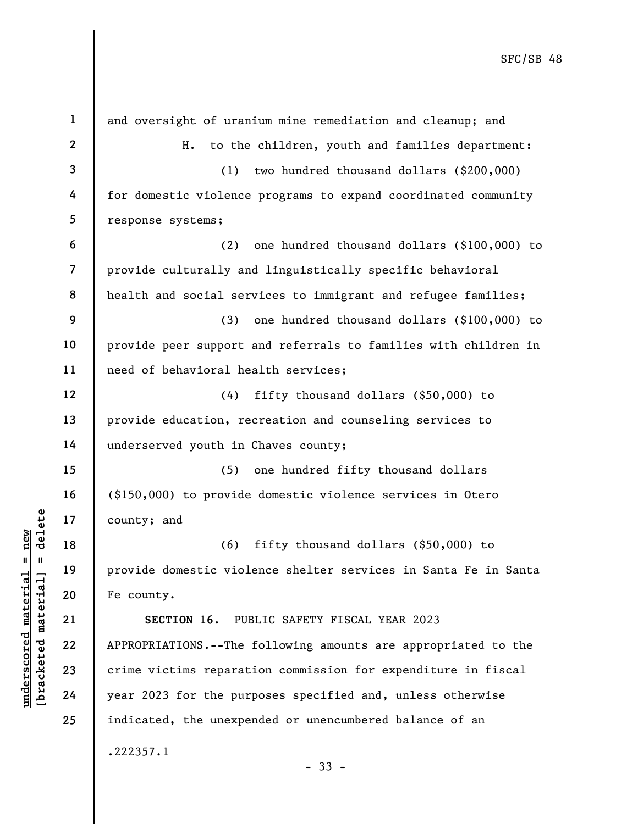|                         | $\mathbf{1}$            | and oversight of uranium mine remediation and cleanup; and      |
|-------------------------|-------------------------|-----------------------------------------------------------------|
|                         | $\mathbf{2}$            | to the children, youth and families department:<br>Η.           |
|                         | $\overline{\mathbf{3}}$ | two hundred thousand dollars (\$200,000)<br>(1)                 |
|                         | 4                       | for domestic violence programs to expand coordinated community  |
|                         | 5                       | response systems;                                               |
|                         | 6                       | one hundred thousand dollars (\$100,000) to<br>(2)              |
|                         | $\overline{\mathbf{z}}$ | provide culturally and linguistically specific behavioral       |
|                         | 8                       | health and social services to immigrant and refugee families;   |
|                         | 9                       | one hundred thousand dollars (\$100,000) to<br>(3)              |
|                         | 10                      | provide peer support and referrals to families with children in |
|                         | 11                      | need of behavioral health services;                             |
|                         | 12                      | (4)<br>fifty thousand dollars $(§50,000)$ to                    |
|                         | 13                      | provide education, recreation and counseling services to        |
|                         | 14                      | underserved youth in Chaves county;                             |
|                         | 15                      | (5)<br>one hundred fifty thousand dollars                       |
|                         | 16                      | (\$150,000) to provide domestic violence services in Otero      |
| delete                  | 17                      | county; and                                                     |
| $n$ ew<br>II            | 18                      | (6)<br>fifty thousand dollars $(§50,000)$ to                    |
|                         | 19                      | provide domestic violence shelter services in Santa Fe in Santa |
| materia                 | 20                      | Fe county.                                                      |
| [bracketed-material     | 21                      | SECTION 16.<br>PUBLIC SAFETY FISCAL YEAR 2023                   |
|                         | 22                      | APPROPRIATIONS.--The following amounts are appropriated to the  |
| $\bm{{\rm underscore}}$ | 23                      | crime victims reparation commission for expenditure in fiscal   |
|                         | 24                      | year 2023 for the purposes specified and, unless otherwise      |
|                         | 25                      | indicated, the unexpended or unencumbered balance of an         |
|                         |                         | .222357.1<br>$-33 -$                                            |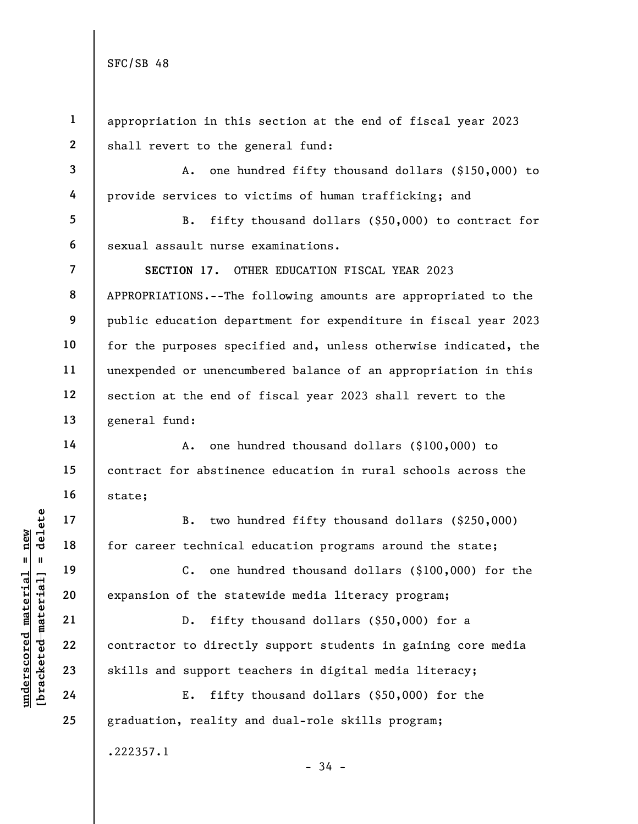3

4

6

7

8

9

10

11

12

13

14

15

16

17

18

19

20

21

22

23

24

25

1 2 appropriation in this section at the end of fiscal year 2023 shall revert to the general fund:

A. one hundred fifty thousand dollars (\$150,000) to provide services to victims of human trafficking; and

5 B. fifty thousand dollars (\$50,000) to contract for sexual assault nurse examinations.

SECTION 17. OTHER EDUCATION FISCAL YEAR 2023 APPROPRIATIONS.--The following amounts are appropriated to the public education department for expenditure in fiscal year 2023 for the purposes specified and, unless otherwise indicated, the unexpended or unencumbered balance of an appropriation in this section at the end of fiscal year 2023 shall revert to the general fund:

A. one hundred thousand dollars (\$100,000) to contract for abstinence education in rural schools across the state;

B. two hundred fifty thousand dollars (\$250,000) for career technical education programs around the state;

C. one hundred thousand dollars (\$100,000) for the expansion of the statewide media literacy program;

underscored material = new [bracketed material] = delete D. fifty thousand dollars (\$50,000) for a contractor to directly support students in gaining core media skills and support teachers in digital media literacy;

E. fifty thousand dollars (\$50,000) for the graduation, reality and dual-role skills program; .222357.1

- 34 -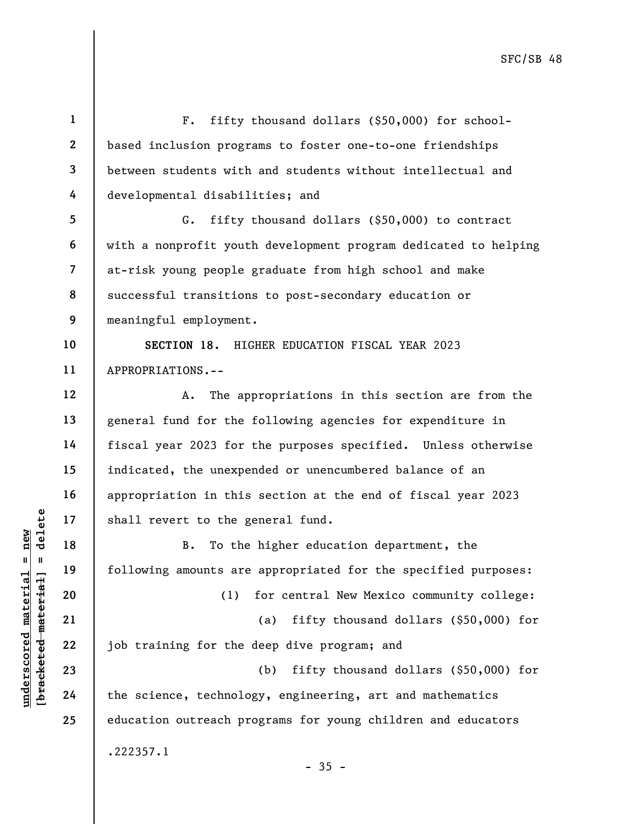understand material material shall revert to the g<br>
shall revert to the g<br>
B. To the<br>
shall move in the<br>
following amounts are<br>  $\begin{array}{ccc}\n & B. & T0 \text{ the}\n\\
 & 20 & (1)\n\\
 & 21 & 22\n\\
 & 22 & 3\n\\
 & 23 & 24\n\end{array}$  the science, technology 1 2 3 4 5 6 7 8 9 10 11 12 13 14 15 16 17 18 19 20 21 22 23 24 25 F. fifty thousand dollars (\$50,000) for schoolbased inclusion programs to foster one-to-one friendships between students with and students without intellectual and developmental disabilities; and G. fifty thousand dollars (\$50,000) to contract with a nonprofit youth development program dedicated to helping at-risk young people graduate from high school and make successful transitions to post-secondary education or meaningful employment. SECTION 18. HIGHER EDUCATION FISCAL YEAR 2023 APPROPRIATIONS.-- A. The appropriations in this section are from the general fund for the following agencies for expenditure in fiscal year 2023 for the purposes specified. Unless otherwise indicated, the unexpended or unencumbered balance of an appropriation in this section at the end of fiscal year 2023 shall revert to the general fund. B. To the higher education department, the following amounts are appropriated for the specified purposes: (1) for central New Mexico community college: (a) fifty thousand dollars (\$50,000) for job training for the deep dive program; and (b) fifty thousand dollars (\$50,000) for the science, technology, engineering, art and mathematics education outreach programs for young children and educators .222357.1  $-35 -$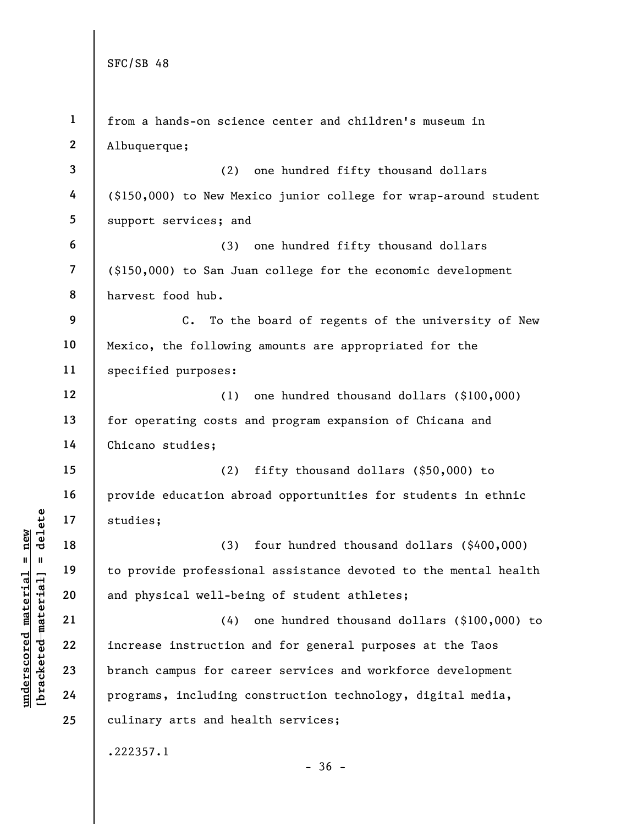|                                                        | $\mathbf{1}$ | from a hands-on science center and children's museum in          |
|--------------------------------------------------------|--------------|------------------------------------------------------------------|
|                                                        | $\mathbf{2}$ | Albuquerque;                                                     |
|                                                        | 3            | one hundred fifty thousand dollars<br>(2)                        |
|                                                        | 4            | (\$150,000) to New Mexico junior college for wrap-around student |
|                                                        | 5            | support services; and                                            |
|                                                        | 6            | one hundred fifty thousand dollars<br>(3)                        |
|                                                        | 7            | (\$150,000) to San Juan college for the economic development     |
|                                                        | 8            | harvest food hub.                                                |
|                                                        | 9            | C. To the board of regents of the university of New              |
|                                                        | 10           | Mexico, the following amounts are appropriated for the           |
|                                                        | 11           | specified purposes:                                              |
|                                                        | 12           | one hundred thousand dollars (\$100,000)<br>(1)                  |
|                                                        | 13           | for operating costs and program expansion of Chicana and         |
|                                                        | 14           | Chicano studies;                                                 |
|                                                        | 15           | fifty thousand dollars (\$50,000) to<br>(2)                      |
|                                                        | 16           | provide education abroad opportunities for students in ethnic    |
| delete                                                 | 17           | studies;                                                         |
| $n$ ew                                                 | 18           | (3)<br>four hundred thousand dollars (\$400,000)                 |
| $\mathbf{II}$<br>$\mathbf{H}$                          | 19           | to provide professional assistance devoted to the mental health  |
| underscored materia<br>[ <del>bracketed material</del> | 20           | and physical well-being of student athletes;                     |
|                                                        | 21           | (4)<br>one hundred thousand dollars (\$100,000) to               |
|                                                        | 22           | increase instruction and for general purposes at the Taos        |
|                                                        | 23           | branch campus for career services and workforce development      |
|                                                        | 24           | programs, including construction technology, digital media,      |
|                                                        | 25           | culinary arts and health services;                               |
|                                                        |              | .222357.1<br>$-36 -$                                             |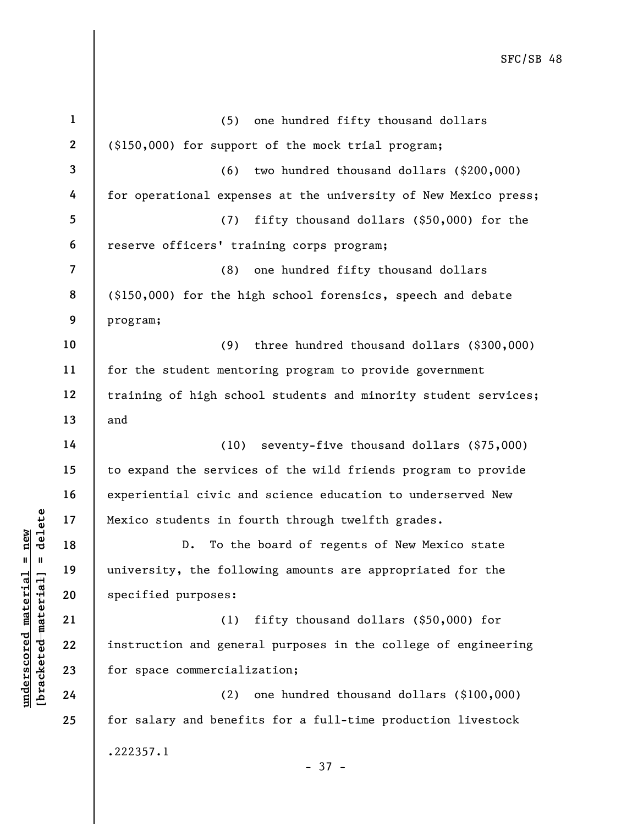underscore commercial<br>
underscore material and the following<br>
weight and the specified purposes:<br>
21<br>
22<br>
university, the follow<br>
specified purposes:<br>
(1)<br>
instruction and gener<br>
24<br>
(2)<br>
24<br>
(2) 3 4 5 6 7 8 9 10 11 12 13 14 15 16 17 18 19 20 21 22 23 24 25 program; and Mexico students in fourth through twelfth grades. specified purposes: for space commercialization; .222357.1

1

2

(6) two hundred thousand dollars (\$200,000) for operational expenses at the university of New Mexico press; (7) fifty thousand dollars (\$50,000) for the reserve officers' training corps program; (8) one hundred fifty thousand dollars (\$150,000) for the high school forensics, speech and debate (9) three hundred thousand dollars (\$300,000) for the student mentoring program to provide government training of high school students and minority student services;

(\$150,000) for support of the mock trial program;

(5) one hundred fifty thousand dollars

(10) seventy-five thousand dollars (\$75,000) to expand the services of the wild friends program to provide experiential civic and science education to underserved New

D. To the board of regents of New Mexico state university, the following amounts are appropriated for the

(1) fifty thousand dollars (\$50,000) for instruction and general purposes in the college of engineering

(2) one hundred thousand dollars (\$100,000) for salary and benefits for a full-time production livestock

- 37 -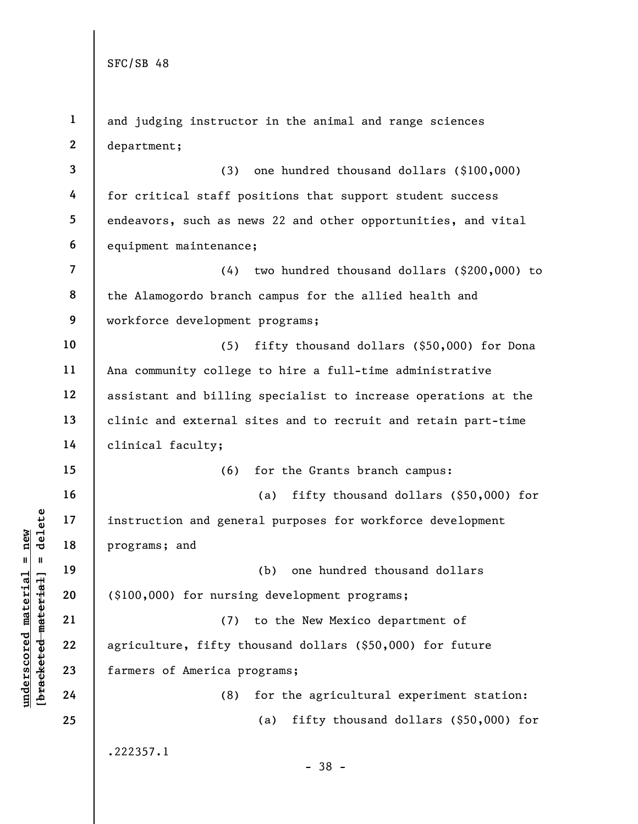|                                                | $\mathbf{1}$   | and judging instructor in the animal and range sciences        |
|------------------------------------------------|----------------|----------------------------------------------------------------|
|                                                | $\mathbf{2}$   | department;                                                    |
|                                                | 3              | one hundred thousand dollars (\$100,000)<br>(3)                |
|                                                | 4              | for critical staff positions that support student success      |
|                                                | 5              | endeavors, such as news 22 and other opportunities, and vital  |
|                                                | 6              | equipment maintenance;                                         |
|                                                | $\overline{7}$ | (4) two hundred thousand dollars (\$200,000) to                |
|                                                | 8              | the Alamogordo branch campus for the allied health and         |
|                                                | 9              | workforce development programs;                                |
|                                                | 10             | fifty thousand dollars (\$50,000) for Dona<br>(5)              |
|                                                | 11             | Ana community college to hire a full-time administrative       |
|                                                | 12             | assistant and billing specialist to increase operations at the |
|                                                | 13             | clinic and external sites and to recruit and retain part-time  |
|                                                | 14             | clinical faculty;                                              |
|                                                | 15             | (6)<br>for the Grants branch campus:                           |
|                                                | 16             | fifty thousand dollars (\$50,000) for<br>(a)                   |
| delete                                         | 17             | instruction and general purposes for workforce development     |
| new<br>Ш                                       | 18             | programs; and                                                  |
| - II                                           | 19             | one hundred thousand dollars<br>(b)                            |
| materia                                        | 20             | (\$100,000) for nursing development programs;                  |
|                                                | 21             | to the New Mexico department of<br>(7)                         |
| [bracketed material<br>$\bm{{\rm underscore}}$ | 22             | agriculture, fifty thousand dollars (\$50,000) for future      |
|                                                | 23             | farmers of America programs;                                   |
|                                                | 24             | for the agricultural experiment station:<br>(8)                |
|                                                | 25             | fifty thousand dollars (\$50,000) for<br>(a)                   |
|                                                |                | .222357.1<br>$-38 -$                                           |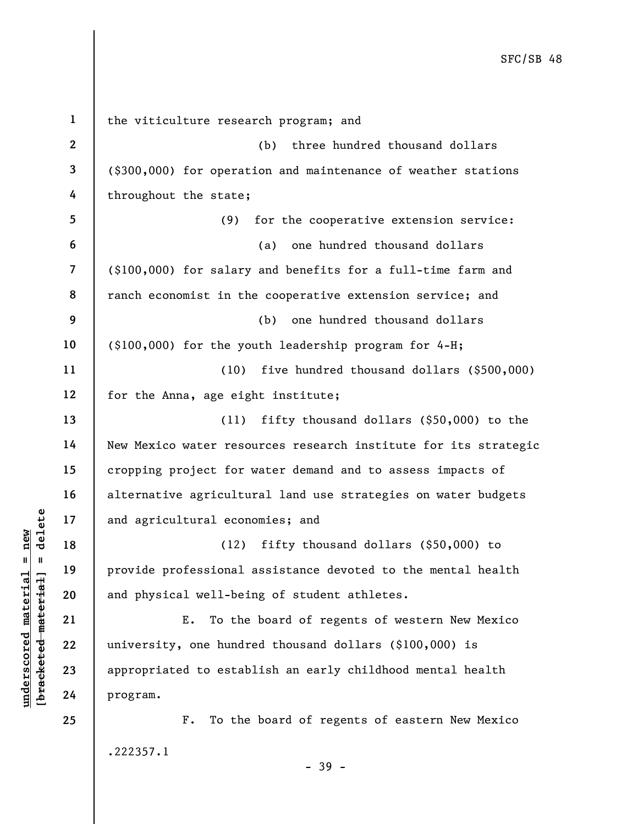understand material experience on<br>  $\begin{array}{c|c|c|c} \n\text{a} & \text{b} & \text{c} & \text{d} & \text{d}} \n\hline \n\text{a} & \text{b} & \text{c} & \text{d} & \text{e} & \text{d}} \n\text{b} & \text{d} & \text{d} & \text{d}} \n\text{c} & \text{e} & \text{d} & \text{e} & \text{e} & \text{e} & \text{e} & \text{e} & \text{e} & \text{e} & \text{e} & \text{e} & \$ 1 2 3 4 5 6 7 8 9 10 11 12 13 14 15 16 17 18 19 20 21 22 23 24 25 the viticulture research program; and (b) three hundred thousand dollars (\$300,000) for operation and maintenance of weather stations throughout the state; (9) for the cooperative extension service: (a) one hundred thousand dollars (\$100,000) for salary and benefits for a full-time farm and ranch economist in the cooperative extension service; and (b) one hundred thousand dollars (\$100,000) for the youth leadership program for 4-H; (10) five hundred thousand dollars (\$500,000) for the Anna, age eight institute; (11) fifty thousand dollars (\$50,000) to the New Mexico water resources research institute for its strategic cropping project for water demand and to assess impacts of alternative agricultural land use strategies on water budgets and agricultural economies; and (12) fifty thousand dollars (\$50,000) to provide professional assistance devoted to the mental health and physical well-being of student athletes. E. To the board of regents of western New Mexico university, one hundred thousand dollars (\$100,000) is appropriated to establish an early childhood mental health program. F. To the board of regents of eastern New Mexico .222357.1 - 39 -